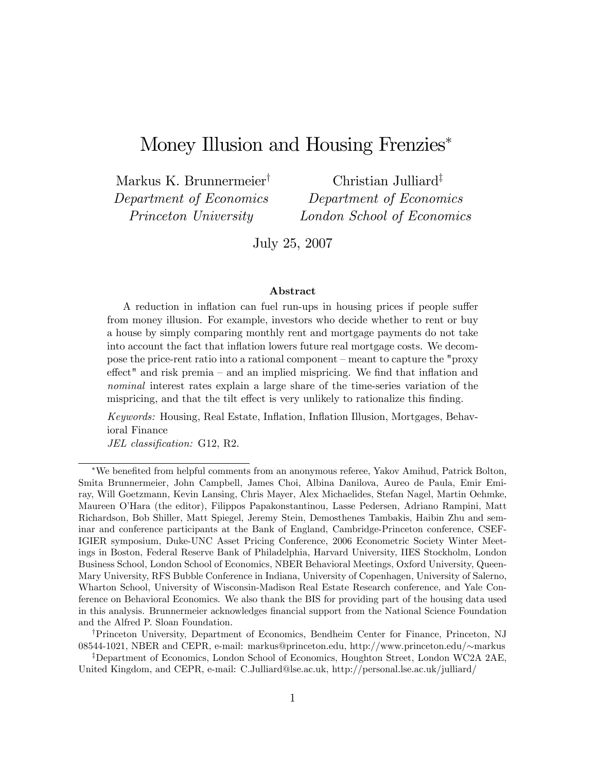# Money Illusion and Housing Frenzies

Markus K. Brunnermeier<sup>†</sup> Department of Economics Princeton University

Christian Julliard<sup>‡</sup> Department of Economics London School of Economics

July 25, 2007

#### Abstract

A reduction in inflation can fuel run-ups in housing prices if people suffer from money illusion. For example, investors who decide whether to rent or buy a house by simply comparing monthly rent and mortgage payments do not take into account the fact that inflation lowers future real mortgage costs. We decompose the price-rent ratio into a rational component – meant to capture the "proxy  $\theta$ effect" and risk premia – and an implied mispricing. We find that inflation and nominal interest rates explain a large share of the time-series variation of the mispricing, and that the tilt effect is very unlikely to rationalize this finding.

Keywords: Housing, Real Estate, Ináation, Ináation Illusion, Mortgages, Behavioral Finance

JEL classification:  $G12$ , R2.

<sup>†</sup>Princeton University, Department of Economics, Bendheim Center for Finance, Princeton, NJ 08544-1021, NBER and CEPR, e-mail: markus@princeton.edu, http://www.princeton.edu/ $\sim$ markus

We beneÖted from helpful comments from an anonymous referee, Yakov Amihud, Patrick Bolton, Smita Brunnermeier, John Campbell, James Choi, Albina Danilova, Aureo de Paula, Emir Emiray, Will Goetzmann, Kevin Lansing, Chris Mayer, Alex Michaelides, Stefan Nagel, Martin Oehmke, Maureen OíHara (the editor), Filippos Papakonstantinou, Lasse Pedersen, Adriano Rampini, Matt Richardson, Bob Shiller, Matt Spiegel, Jeremy Stein, Demosthenes Tambakis, Haibin Zhu and seminar and conference participants at the Bank of England, Cambridge-Princeton conference, CSEF-IGIER symposium, Duke-UNC Asset Pricing Conference, 2006 Econometric Society Winter Meetings in Boston, Federal Reserve Bank of Philadelphia, Harvard University, IIES Stockholm, London Business School, London School of Economics, NBER Behavioral Meetings, Oxford University, Queen-Mary University, RFS Bubble Conference in Indiana, University of Copenhagen, University of Salerno, Wharton School, University of Wisconsin-Madison Real Estate Research conference, and Yale Conference on Behavioral Economics. We also thank the BIS for providing part of the housing data used in this analysis. Brunnermeier acknowledges Önancial support from the National Science Foundation and the Alfred P. Sloan Foundation.

<sup>&</sup>lt;sup>‡</sup>Department of Economics, London School of Economics, Houghton Street, London WC2A 2AE, United Kingdom, and CEPR, e-mail: C.Julliard@lse.ac.uk, http://personal.lse.ac.uk/julliard/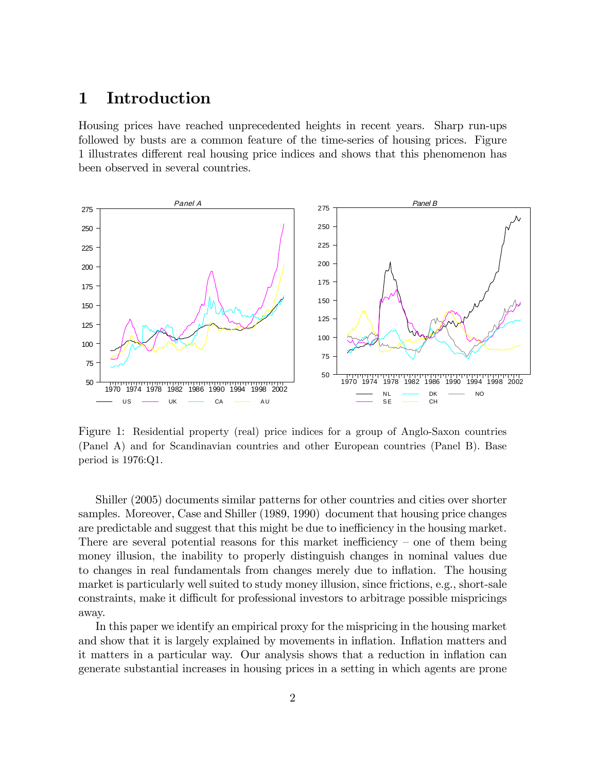## 1 Introduction

Housing prices have reached unprecedented heights in recent years. Sharp run-ups followed by busts are a common feature of the time-series of housing prices. Figure 1 illustrates different real housing price indices and shows that this phenomenon has been observed in several countries.



Figure 1: Residential property (real) price indices for a group of Anglo-Saxon countries (Panel A) and for Scandinavian countries and other European countries (Panel B). Base period is 1976:Q1.

Shiller (2005) documents similar patterns for other countries and cities over shorter samples. Moreover, Case and Shiller (1989, 1990) document that housing price changes are predictable and suggest that this might be due to inefficiency in the housing market. There are several potential reasons for this market inefficiency  $-$  one of them being money illusion, the inability to properly distinguish changes in nominal values due to changes in real fundamentals from changes merely due to inflation. The housing market is particularly well suited to study money illusion, since frictions, e.g., short-sale constraints, make it difficult for professional investors to arbitrage possible mispricings away.

In this paper we identify an empirical proxy for the mispricing in the housing market and show that it is largely explained by movements in inflation. Inflation matters and it matters in a particular way. Our analysis shows that a reduction in ináation can generate substantial increases in housing prices in a setting in which agents are prone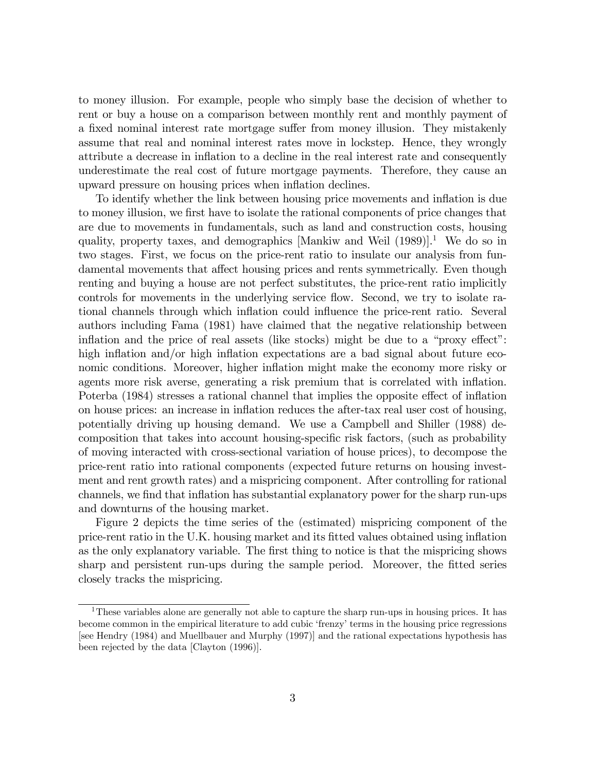to money illusion. For example, people who simply base the decision of whether to rent or buy a house on a comparison between monthly rent and monthly payment of a fixed nominal interest rate mortgage suffer from money illusion. They mistakenly assume that real and nominal interest rates move in lockstep. Hence, they wrongly attribute a decrease in ináation to a decline in the real interest rate and consequently underestimate the real cost of future mortgage payments. Therefore, they cause an upward pressure on housing prices when inflation declines.

To identify whether the link between housing price movements and ináation is due to money illusion, we first have to isolate the rational components of price changes that are due to movements in fundamentals, such as land and construction costs, housing quality, property taxes, and demographics [Mankiw and Weil  $(1989)$ ].<sup>1</sup> We do so in two stages. First, we focus on the price-rent ratio to insulate our analysis from fundamental movements that affect housing prices and rents symmetrically. Even though renting and buying a house are not perfect substitutes, the price-rent ratio implicitly controls for movements in the underlying service áow. Second, we try to isolate rational channels through which inflation could influence the price-rent ratio. Several authors including Fama (1981) have claimed that the negative relationship between inflation and the price of real assets (like stocks) might be due to a "proxy effect": high inflation and/or high inflation expectations are a bad signal about future economic conditions. Moreover, higher inflation might make the economy more risky or agents more risk averse, generating a risk premium that is correlated with inflation. Poterba (1984) stresses a rational channel that implies the opposite effect of inflation on house prices: an increase in ináation reduces the after-tax real user cost of housing, potentially driving up housing demand. We use a Campbell and Shiller (1988) decomposition that takes into account housing-specific risk factors, (such as probability of moving interacted with cross-sectional variation of house prices), to decompose the price-rent ratio into rational components (expected future returns on housing investment and rent growth rates) and a mispricing component. After controlling for rational channels, we find that inflation has substantial explanatory power for the sharp run-ups and downturns of the housing market.

Figure 2 depicts the time series of the (estimated) mispricing component of the price-rent ratio in the U.K. housing market and its Ötted values obtained using ináation as the only explanatory variable. The first thing to notice is that the mispricing shows sharp and persistent run-ups during the sample period. Moreover, the fitted series closely tracks the mispricing.

<sup>&</sup>lt;sup>1</sup>These variables alone are generally not able to capture the sharp run-ups in housing prices. It has become common in the empirical literature to add cubic 'frenzy' terms in the housing price regressions [see Hendry (1984) and Muellbauer and Murphy (1997)] and the rational expectations hypothesis has been rejected by the data [Clayton (1996)].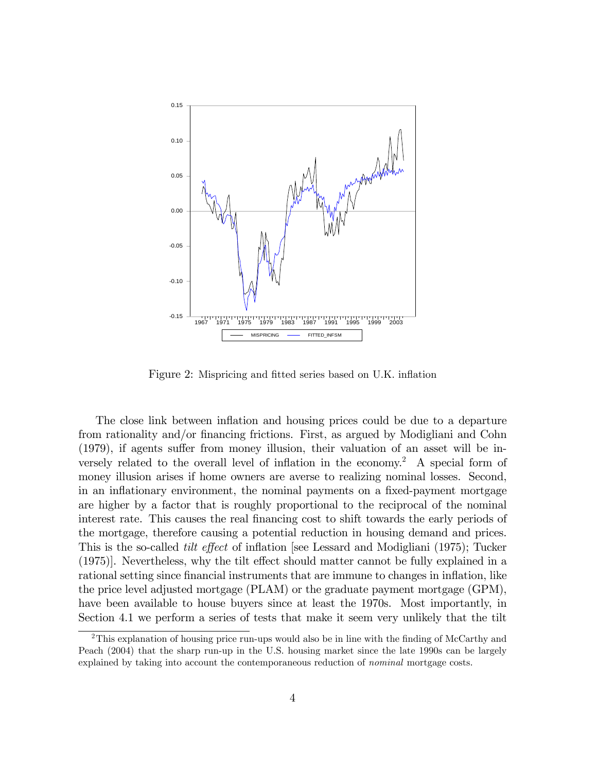

Figure 2: Mispricing and fitted series based on U.K. inflation

The close link between inflation and housing prices could be due to a departure from rationality and/or financing frictions. First, as argued by Modigliani and Cohn  $(1979)$ , if agents suffer from money illusion, their valuation of an asset will be inversely related to the overall level of inflation in the economy.<sup>2</sup> A special form of money illusion arises if home owners are averse to realizing nominal losses. Second, in an inflationary environment, the nominal payments on a fixed-payment mortgage are higher by a factor that is roughly proportional to the reciprocal of the nominal interest rate. This causes the real Önancing cost to shift towards the early periods of the mortgage, therefore causing a potential reduction in housing demand and prices. This is the so-called *tilt effect* of inflation [see Lessard and Modigliani (1975); Tucker  $(1975)$ . Nevertheless, why the tilt effect should matter cannot be fully explained in a rational setting since financial instruments that are immune to changes in inflation, like the price level adjusted mortgage (PLAM) or the graduate payment mortgage (GPM), have been available to house buyers since at least the 1970s. Most importantly, in Section 4.1 we perform a series of tests that make it seem very unlikely that the tilt

<sup>&</sup>lt;sup>2</sup>This explanation of housing price run-ups would also be in line with the finding of McCarthy and Peach (2004) that the sharp run-up in the U.S. housing market since the late 1990s can be largely explained by taking into account the contemporaneous reduction of nominal mortgage costs.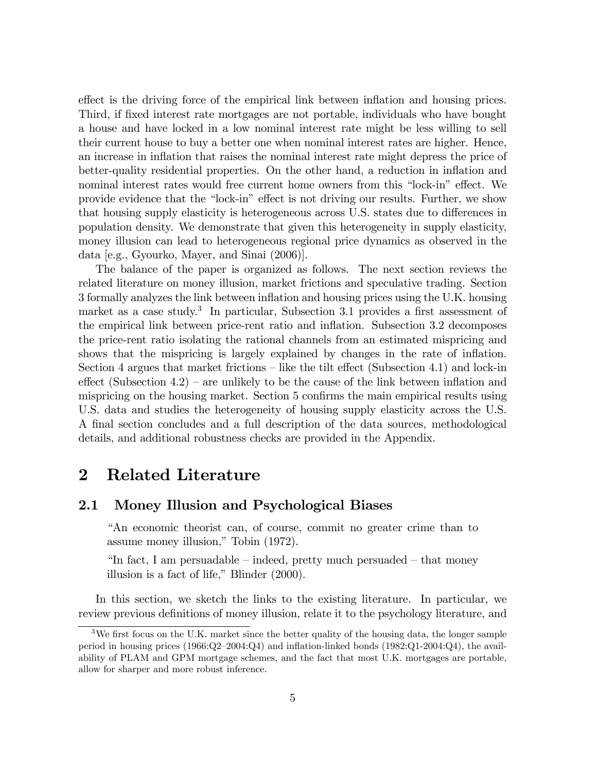effect is the driving force of the empirical link between inflation and housing prices. Third, if Öxed interest rate mortgages are not portable, individuals who have bought a house and have locked in a low nominal interest rate might be less willing to sell their current house to buy a better one when nominal interest rates are higher. Hence, an increase in inflation that raises the nominal interest rate might depress the price of better-quality residential properties. On the other hand, a reduction in inflation and nominal interest rates would free current home owners from this "lock-in" effect. We provide evidence that the "lock-in" effect is not driving our results. Further, we show that housing supply elasticity is heterogeneous across U.S. states due to differences in population density. We demonstrate that given this heterogeneity in supply elasticity, money illusion can lead to heterogeneous regional price dynamics as observed in the data [e.g., Gyourko, Mayer, and Sinai (2006)].

The balance of the paper is organized as follows. The next section reviews the related literature on money illusion, market frictions and speculative trading. Section 3 formally analyzes the link between ináation and housing prices using the U.K. housing market as a case study.<sup>3</sup> In particular, Subsection 3.1 provides a first assessment of the empirical link between price-rent ratio and inflation. Subsection 3.2 decomposes the price-rent ratio isolating the rational channels from an estimated mispricing and shows that the mispricing is largely explained by changes in the rate of inflation. Section 4 argues that market frictions  $-$  like the tilt effect (Subsection 4.1) and lock-in effect (Subsection 4.2) – are unlikely to be the cause of the link between inflation and mispricing on the housing market. Section 5 confirms the main empirical results using U.S. data and studies the heterogeneity of housing supply elasticity across the U.S. A final section concludes and a full description of the data sources, methodological details, and additional robustness checks are provided in the Appendix.

## 2 Related Literature

#### 2.1 Money Illusion and Psychological Biases

ìAn economic theorist can, of course, commit no greater crime than to assume money illusion," Tobin (1972).

"In fact, I am persuadable  $\overline{\phantom{a}}$  indeed, pretty much persuaded  $\overline{\phantom{a}}$  that money illusion is a fact of life," Blinder  $(2000)$ .

In this section, we sketch the links to the existing literature. In particular, we review previous definitions of money illusion, relate it to the psychology literature, and

<sup>&</sup>lt;sup>3</sup>We first focus on the U.K. market since the better quality of the housing data, the longer sample period in housing prices  $(1966:Q2-2004:Q4)$  and inflation-linked bonds  $(1982:Q1-2004:Q4)$ , the availability of PLAM and GPM mortgage schemes, and the fact that most U.K. mortgages are portable, allow for sharper and more robust inference.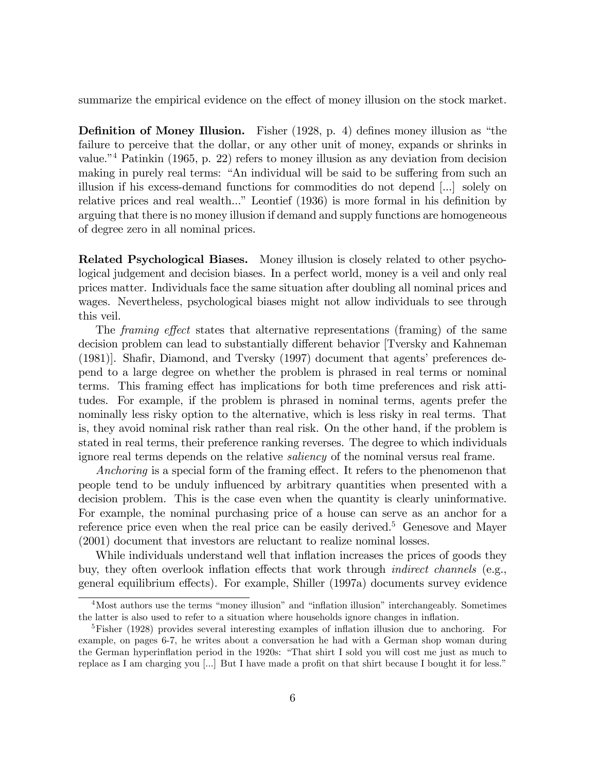summarize the empirical evidence on the effect of money illusion on the stock market.

**Definition of Money Illusion.** Fisher  $(1928, p. 4)$  defines money illusion as "the failure to perceive that the dollar, or any other unit of money, expands or shrinks in value.<sup> $34$ </sup> Patinkin (1965, p. 22) refers to money illusion as any deviation from decision making in purely real terms: "An individual will be said to be suffering from such an illusion if his excess-demand functions for commodities do not depend [...] solely on relative prices and real wealth..." Leontief  $(1936)$  is more formal in his definition by arguing that there is no money illusion if demand and supply functions are homogeneous of degree zero in all nominal prices.

Related Psychological Biases. Money illusion is closely related to other psychological judgement and decision biases. In a perfect world, money is a veil and only real prices matter. Individuals face the same situation after doubling all nominal prices and wages. Nevertheless, psychological biases might not allow individuals to see through this veil.

The *framing effect* states that alternative representations (framing) of the same decision problem can lead to substantially different behavior [Tversky and Kahneman]  $(1981)$ . Shafir, Diamond, and Tversky  $(1997)$  document that agents' preferences depend to a large degree on whether the problem is phrased in real terms or nominal terms. This framing effect has implications for both time preferences and risk attitudes. For example, if the problem is phrased in nominal terms, agents prefer the nominally less risky option to the alternative, which is less risky in real terms. That is, they avoid nominal risk rather than real risk. On the other hand, if the problem is stated in real terms, their preference ranking reverses. The degree to which individuals ignore real terms depends on the relative saliency of the nominal versus real frame.

Anchoring is a special form of the framing effect. It refers to the phenomenon that people tend to be unduly ináuenced by arbitrary quantities when presented with a decision problem. This is the case even when the quantity is clearly uninformative. For example, the nominal purchasing price of a house can serve as an anchor for a reference price even when the real price can be easily derived.<sup>5</sup> Genesove and Mayer (2001) document that investors are reluctant to realize nominal losses.

While individuals understand well that inflation increases the prices of goods they buy, they often overlook inflation effects that work through *indirect channels* (e.g., general equilibrium effects). For example, Shiller (1997a) documents survey evidence

 $4$ Most authors use the terms "money illusion" and "inflation illusion" interchangeably. Sometimes the latter is also used to refer to a situation where households ignore changes in ináation.

<sup>&</sup>lt;sup>5</sup>Fisher (1928) provides several interesting examples of inflation illusion due to anchoring. For example, on pages 6-7, he writes about a conversation he had with a German shop woman during the German hyperinflation period in the 1920s: "That shirt I sold you will cost me just as much to replace as I am charging you  $\lceil ... \rceil$  But I have made a profit on that shirt because I bought it for less."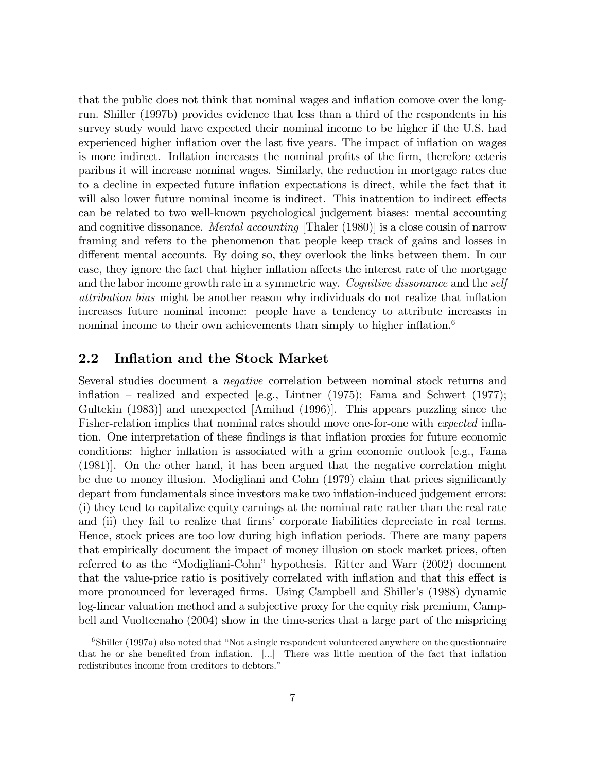that the public does not think that nominal wages and inflation comove over the longrun. Shiller (1997b) provides evidence that less than a third of the respondents in his survey study would have expected their nominal income to be higher if the U.S. had experienced higher inflation over the last five years. The impact of inflation on wages is more indirect. Inflation increases the nominal profits of the firm, therefore ceteris paribus it will increase nominal wages. Similarly, the reduction in mortgage rates due to a decline in expected future ináation expectations is direct, while the fact that it will also lower future nominal income is indirect. This inattention to indirect effects can be related to two well-known psychological judgement biases: mental accounting and cognitive dissonance. Mental accounting [Thaler (1980)] is a close cousin of narrow framing and refers to the phenomenon that people keep track of gains and losses in different mental accounts. By doing so, they overlook the links between them. In our case, they ignore the fact that higher inflation affects the interest rate of the mortgage and the labor income growth rate in a symmetric way. Cognitive dissonance and the self attribution bias might be another reason why individuals do not realize that inflation increases future nominal income: people have a tendency to attribute increases in nominal income to their own achievements than simply to higher inflation.<sup>6</sup>

### 2.2 Inflation and the Stock Market

Several studies document a negative correlation between nominal stock returns and inflation – realized and expected [e.g., Lintner (1975); Fama and Schwert (1977); Gultekin (1983)] and unexpected [Amihud (1996)]. This appears puzzling since the Fisher-relation implies that nominal rates should move one-for-one with *expected* inflation. One interpretation of these findings is that inflation proxies for future economic conditions: higher inflation is associated with a grim economic outlook  $[e.g., Fama$ (1981)]. On the other hand, it has been argued that the negative correlation might be due to money illusion. Modigliani and Cohn (1979) claim that prices significantly depart from fundamentals since investors make two inflation-induced judgement errors: (i) they tend to capitalize equity earnings at the nominal rate rather than the real rate and (ii) they fail to realize that firms' corporate liabilities depreciate in real terms. Hence, stock prices are too low during high ináation periods. There are many papers that empirically document the impact of money illusion on stock market prices, often referred to as the "Modigliani-Cohn" hypothesis. Ritter and Warr (2002) document that the value-price ratio is positively correlated with inflation and that this effect is more pronounced for leveraged firms. Using Campbell and Shiller's (1988) dynamic log-linear valuation method and a subjective proxy for the equity risk premium, Campbell and Vuolteenaho (2004) show in the time-series that a large part of the mispricing

 $6$ Shiller (1997a) also noted that "Not a single respondent volunteered anywhere on the questionnaire that he or she benefited from inflation. [...] There was little mention of the fact that inflation redistributes income from creditors to debtors."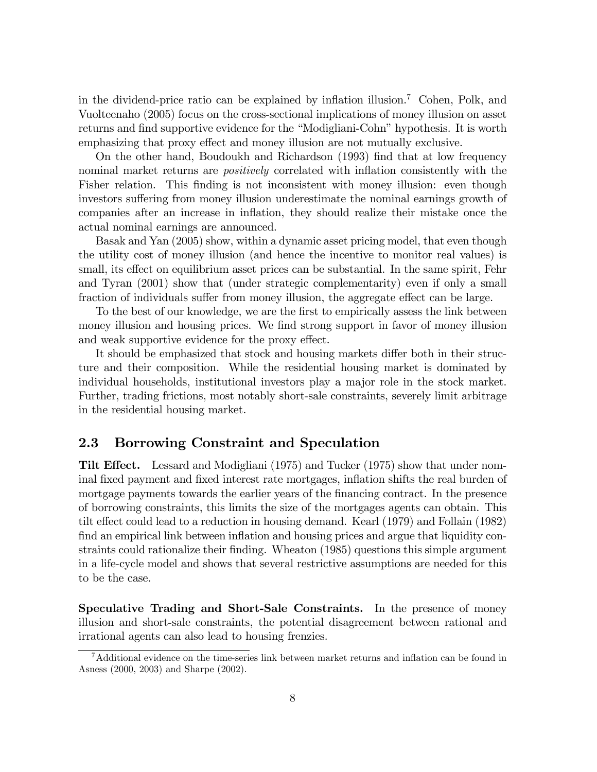in the dividend-price ratio can be explained by inflation illusion.<sup>7</sup> Cohen, Polk, and Vuolteenaho (2005) focus on the cross-sectional implications of money illusion on asset returns and find supportive evidence for the "Modigliani-Cohn" hypothesis. It is worth emphasizing that proxy effect and money illusion are not mutually exclusive.

On the other hand, Boudoukh and Richardson (1993) find that at low frequency nominal market returns are *positively* correlated with inflation consistently with the Fisher relation. This finding is not inconsistent with money illusion: even though investors suffering from money illusion underestimate the nominal earnings growth of companies after an increase in inflation, they should realize their mistake once the actual nominal earnings are announced.

Basak and Yan (2005) show, within a dynamic asset pricing model, that even though the utility cost of money illusion (and hence the incentive to monitor real values) is small, its effect on equilibrium asset prices can be substantial. In the same spirit, Fehr and Tyran (2001) show that (under strategic complementarity) even if only a small fraction of individuals suffer from money illusion, the aggregate effect can be large.

To the best of our knowledge, we are the first to empirically assess the link between money illusion and housing prices. We find strong support in favor of money illusion and weak supportive evidence for the proxy effect.

It should be emphasized that stock and housing markets differ both in their structure and their composition. While the residential housing market is dominated by individual households, institutional investors play a major role in the stock market. Further, trading frictions, most notably short-sale constraints, severely limit arbitrage in the residential housing market.

#### 2.3 Borrowing Constraint and Speculation

**Tilt Effect.** Lessard and Modigliani (1975) and Tucker (1975) show that under nominal fixed payment and fixed interest rate mortgages, inflation shifts the real burden of mortgage payments towards the earlier years of the financing contract. In the presence of borrowing constraints, this limits the size of the mortgages agents can obtain. This tilt effect could lead to a reduction in housing demand. Kearl (1979) and Follain (1982) find an empirical link between inflation and housing prices and argue that liquidity constraints could rationalize their finding. Wheaton (1985) questions this simple argument in a life-cycle model and shows that several restrictive assumptions are needed for this to be the case.

Speculative Trading and Short-Sale Constraints. In the presence of money illusion and short-sale constraints, the potential disagreement between rational and irrational agents can also lead to housing frenzies.

 $^7$ Additional evidence on the time-series link between market returns and inflation can be found in Asness (2000, 2003) and Sharpe (2002).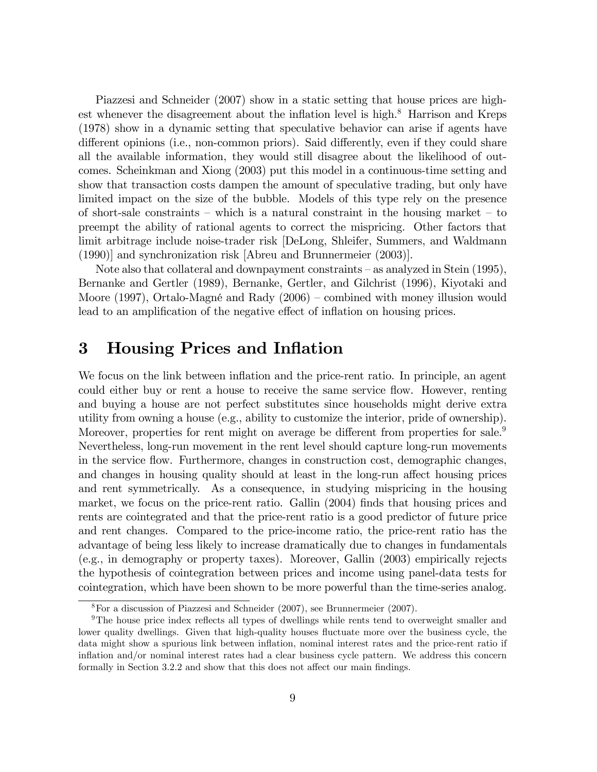Piazzesi and Schneider (2007) show in a static setting that house prices are highest whenever the disagreement about the inflation level is high.<sup>8</sup> Harrison and Kreps (1978) show in a dynamic setting that speculative behavior can arise if agents have different opinions (i.e., non-common priors). Said differently, even if they could share all the available information, they would still disagree about the likelihood of outcomes. Scheinkman and Xiong (2003) put this model in a continuous-time setting and show that transaction costs dampen the amount of speculative trading, but only have limited impact on the size of the bubble. Models of this type rely on the presence of short-sale constraints – which is a natural constraint in the housing market – to preempt the ability of rational agents to correct the mispricing. Other factors that limit arbitrage include noise-trader risk [DeLong, Shleifer, Summers, and Waldmann (1990)] and synchronization risk [Abreu and Brunnermeier (2003)].

Note also that collateral and downpayment constraints  $-$  as analyzed in Stein (1995), Bernanke and Gertler (1989), Bernanke, Gertler, and Gilchrist (1996), Kiyotaki and Moore  $(1997)$ , Ortalo-Magné and Rady  $(2006)$  – combined with money illusion would lead to an amplification of the negative effect of inflation on housing prices.

### 3 Housing Prices and Inflation

We focus on the link between inflation and the price-rent ratio. In principle, an agent could either buy or rent a house to receive the same service flow. However, renting and buying a house are not perfect substitutes since households might derive extra utility from owning a house (e.g., ability to customize the interior, pride of ownership). Moreover, properties for rent might on average be different from properties for sale.<sup>9</sup> Nevertheless, long-run movement in the rent level should capture long-run movements in the service flow. Furthermore, changes in construction cost, demographic changes, and changes in housing quality should at least in the long-run affect housing prices and rent symmetrically. As a consequence, in studying mispricing in the housing market, we focus on the price-rent ratio. Gallin (2004) finds that housing prices and rents are cointegrated and that the price-rent ratio is a good predictor of future price and rent changes. Compared to the price-income ratio, the price-rent ratio has the advantage of being less likely to increase dramatically due to changes in fundamentals (e.g., in demography or property taxes). Moreover, Gallin (2003) empirically rejects the hypothesis of cointegration between prices and income using panel-data tests for cointegration, which have been shown to be more powerful than the time-series analog.

<sup>8</sup>For a discussion of Piazzesi and Schneider (2007), see Brunnermeier (2007).

 $9$ The house price index reflects all types of dwellings while rents tend to overweight smaller and lower quality dwellings. Given that high-quality houses fluctuate more over the business cycle, the data might show a spurious link between inflation, nominal interest rates and the price-rent ratio if inflation and/or nominal interest rates had a clear business cycle pattern. We address this concern formally in Section 3.2.2 and show that this does not affect our main findings.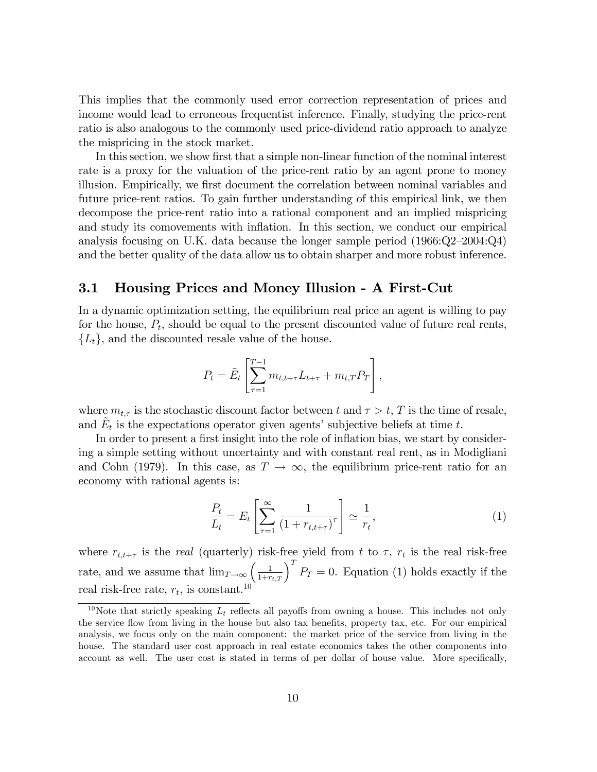This implies that the commonly used error correction representation of prices and income would lead to erroneous frequentist inference. Finally, studying the price-rent ratio is also analogous to the commonly used price-dividend ratio approach to analyze the mispricing in the stock market.

In this section, we show first that a simple non-linear function of the nominal interest rate is a proxy for the valuation of the price-rent ratio by an agent prone to money illusion. Empirically, we first document the correlation between nominal variables and future price-rent ratios. To gain further understanding of this empirical link, we then decompose the price-rent ratio into a rational component and an implied mispricing and study its comovements with inflation. In this section, we conduct our empirical analysis focusing on U.K. data because the longer sample period  $(1966:Q2-2004:Q4)$ and the better quality of the data allow us to obtain sharper and more robust inference.

#### 3.1 Housing Prices and Money Illusion - A First-Cut

In a dynamic optimization setting, the equilibrium real price an agent is willing to pay for the house,  $P_t$ , should be equal to the present discounted value of future real rents,  ${L<sub>t</sub>}$ , and the discounted resale value of the house.

$$
P_t = \tilde{E}_t \left[ \sum_{\tau=1}^{T-1} m_{t,t+\tau} L_{t+\tau} + m_{t,T} P_T \right],
$$

where  $m_{t,\tau}$  is the stochastic discount factor between t and  $\tau > t$ , T is the time of resale, and  $\tilde{E}_t$  is the expectations operator given agents' subjective beliefs at time t.

In order to present a first insight into the role of inflation bias, we start by considering a simple setting without uncertainty and with constant real rent, as in Modigliani and Cohn (1979). In this case, as  $T \to \infty$ , the equilibrium price-rent ratio for an economy with rational agents is:

$$
\frac{P_t}{L_t} = E_t \left[ \sum_{\tau=1}^{\infty} \frac{1}{\left(1 + r_{t,t+\tau}\right)^{\tau}} \right] \simeq \frac{1}{r_t},\tag{1}
$$

where  $r_{t,t+\tau}$  is the real (quarterly) risk-free yield from t to  $\tau$ ,  $r_t$  is the real risk-free rate, and we assume that  $\lim_{T\to\infty} \left(\frac{1}{1+r_{t,T}}\right)^T P_T = 0$ . Equation (1) holds exactly if the real risk-free rate,  $r_t$ , is constant.<sup>10</sup>

<sup>&</sup>lt;sup>10</sup>Note that strictly speaking  $L_t$  reflects all payoffs from owning a house. This includes not only the service flow from living in the house but also tax benefits, property tax, etc. For our empirical analysis, we focus only on the main component: the market price of the service from living in the house. The standard user cost approach in real estate economics takes the other components into account as well. The user cost is stated in terms of per dollar of house value. More specifically,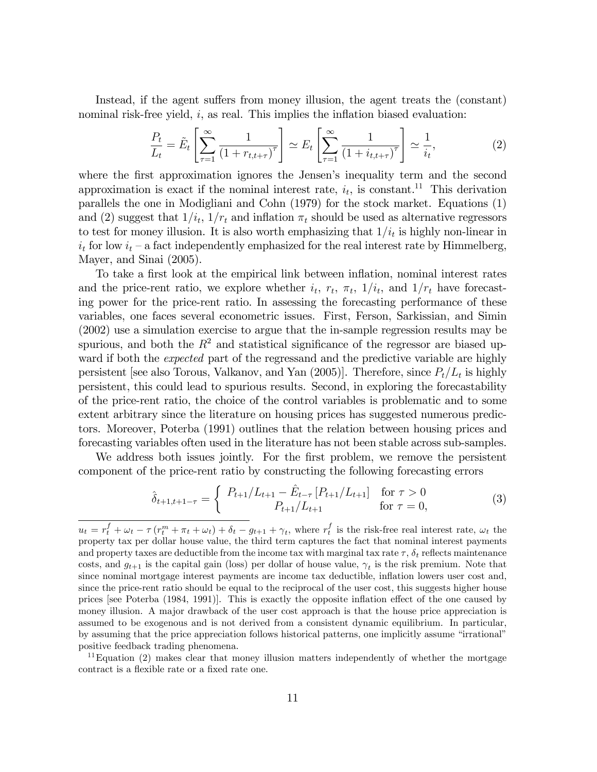Instead, if the agent suffers from money illusion, the agent treats the (constant) nominal risk-free yield,  $i$ , as real. This implies the inflation biased evaluation:

$$
\frac{P_t}{L_t} = \tilde{E}_t \left[ \sum_{\tau=1}^{\infty} \frac{1}{\left(1 + r_{t,t+\tau}\right)^{\tau}} \right] \simeq E_t \left[ \sum_{\tau=1}^{\infty} \frac{1}{\left(1 + i_{t,t+\tau}\right)^{\tau}} \right] \simeq \frac{1}{i_t},\tag{2}
$$

where the first approximation ignores the Jensen's inequality term and the second approximation is exact if the nominal interest rate,  $i_t$ , is constant.<sup>11</sup> This derivation parallels the one in Modigliani and Cohn (1979) for the stock market. Equations (1) and (2) suggest that  $1/i_t$ ,  $1/r_t$  and inflation  $\pi_t$  should be used as alternative regressors to test for money illusion. It is also worth emphasizing that  $1/i_t$  is highly non-linear in  $i_t$  for low  $i_t$  – a fact independently emphasized for the real interest rate by Himmelberg, Mayer, and Sinai (2005).

To take a first look at the empirical link between inflation, nominal interest rates and the price-rent ratio, we explore whether  $i_t$ ,  $r_t$ ,  $\pi_t$ ,  $1/i_t$ , and  $1/r_t$  have forecasting power for the price-rent ratio. In assessing the forecasting performance of these variables, one faces several econometric issues. First, Ferson, Sarkissian, and Simin (2002) use a simulation exercise to argue that the in-sample regression results may be spurious, and both the  $R^2$  and statistical significance of the regressor are biased upward if both the *expected* part of the regressand and the predictive variable are highly persistent [see also Torous, Valkanov, and Yan  $(2005)$ ]. Therefore, since  $P_t/L_t$  is highly persistent, this could lead to spurious results. Second, in exploring the forecastability of the price-rent ratio, the choice of the control variables is problematic and to some extent arbitrary since the literature on housing prices has suggested numerous predictors. Moreover, Poterba (1991) outlines that the relation between housing prices and forecasting variables often used in the literature has not been stable across sub-samples.

We address both issues jointly. For the first problem, we remove the persistent component of the price-rent ratio by constructing the following forecasting errors

$$
\hat{\delta}_{t+1,t+1-\tau} = \begin{cases} P_{t+1}/L_{t+1} - \hat{E}_{t-\tau} [P_{t+1}/L_{t+1}] & \text{for } \tau > 0\\ P_{t+1}/L_{t+1} & \text{for } \tau = 0, \end{cases}
$$
(3)

 $u_t = r_t^f + \omega_t - \tau (r_t^m + \pi_t + \omega_t) + \delta_t - g_{t+1} + \gamma_t$ , where  $r_t^f$  is the risk-free real interest rate,  $\omega_t$  the property tax per dollar house value, the third term captures the fact that nominal interest payments and property taxes are deductible from the income tax with marginal tax rate  $\tau$ ,  $\delta_t$  reflects maintenance costs, and  $g_{t+1}$  is the capital gain (loss) per dollar of house value,  $\gamma_t$  is the risk premium. Note that since nominal mortgage interest payments are income tax deductible, inflation lowers user cost and, since the price-rent ratio should be equal to the reciprocal of the user cost, this suggests higher house prices [see Poterba (1984, 1991)]. This is exactly the opposite inflation effect of the one caused by money illusion. A major drawback of the user cost approach is that the house price appreciation is assumed to be exogenous and is not derived from a consistent dynamic equilibrium. In particular, by assuming that the price appreciation follows historical patterns, one implicitly assume "irrational" positive feedback trading phenomena.

 $11$ Equation (2) makes clear that money illusion matters independently of whether the mortgage contract is a flexible rate or a fixed rate one.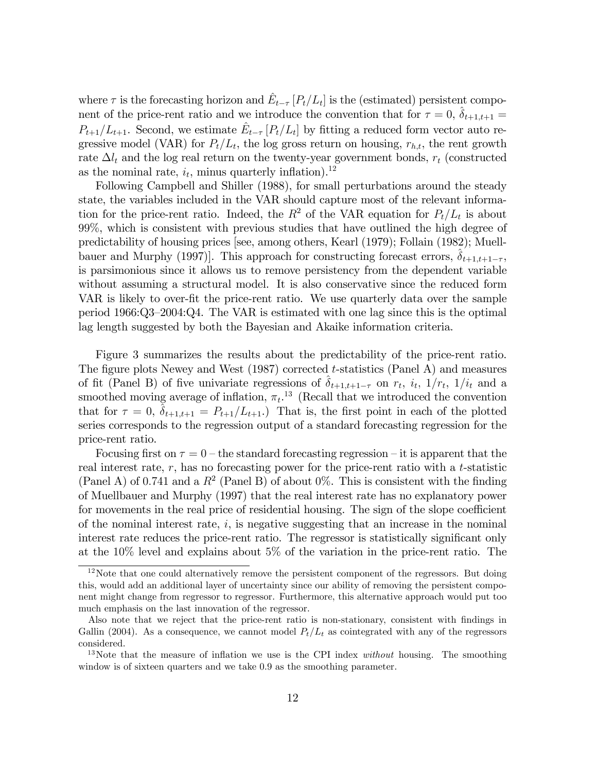where  $\tau$  is the forecasting horizon and  $\hat{E}_{t-\tau}[P_t/L_t]$  is the (estimated) persistent component of the price-rent ratio and we introduce the convention that for  $\tau = 0$ ,  $\hat{\delta}_{t+1,t+1} =$  $P_{t+1}/L_{t+1}$ . Second, we estimate  $\hat{E}_{t-\tau}[P_t/L_t]$  by fitting a reduced form vector auto regressive model (VAR) for  $P_t/L_t$ , the log gross return on housing,  $r_{h,t}$ , the rent growth rate  $\Delta l_t$  and the log real return on the twenty-year government bonds,  $r_t$  (constructed as the nominal rate,  $i_t$ , minus quarterly inflation).<sup>12</sup>

Following Campbell and Shiller (1988), for small perturbations around the steady state, the variables included in the VAR should capture most of the relevant information for the price-rent ratio. Indeed, the  $R^2$  of the VAR equation for  $P_t/L_t$  is about 99%, which is consistent with previous studies that have outlined the high degree of predictability of housing prices [see, among others, Kearl (1979); Follain (1982); Muellbauer and Murphy (1997)]. This approach for constructing forecast errors,  $\delta_{t+1,t+1-\tau}$ , is parsimonious since it allows us to remove persistency from the dependent variable without assuming a structural model. It is also conservative since the reduced form VAR is likely to over-Öt the price-rent ratio. We use quarterly data over the sample period  $1966:Q3-2004:Q4$ . The VAR is estimated with one lag since this is the optimal lag length suggested by both the Bayesian and Akaike information criteria.

Figure 3 summarizes the results about the predictability of the price-rent ratio. The figure plots Newey and West  $(1987)$  corrected t-statistics (Panel A) and measures of fit (Panel B) of five univariate regressions of  $\hat{\delta}_{t+1,t+1-\tau}$  on  $r_t$ ,  $i_t$ ,  $1/r_t$ ,  $1/i_t$  and a smoothed moving average of inflation,  $\pi_t$ .<sup>13</sup> (Recall that we introduced the convention that for  $\tau = 0$ ,  $\hat{\delta}_{t+1,t+1} = P_{t+1}/L_{t+1}$ .) That is, the first point in each of the plotted series corresponds to the regression output of a standard forecasting regression for the price-rent ratio.

Focusing first on  $\tau = 0$  – the standard forecasting regression – it is apparent that the real interest rate, r, has no forecasting power for the price-rent ratio with a t-statistic (Panel A) of 0.741 and a  $R^2$  (Panel B) of about 0%. This is consistent with the finding of Muellbauer and Murphy (1997) that the real interest rate has no explanatory power for movements in the real price of residential housing. The sign of the slope coefficient of the nominal interest rate,  $i$ , is negative suggesting that an increase in the nominal interest rate reduces the price-rent ratio. The regressor is statistically significant only at the 10% level and explains about 5% of the variation in the price-rent ratio. The

<sup>&</sup>lt;sup>12</sup>Note that one could alternatively remove the persistent component of the regressors. But doing this, would add an additional layer of uncertainty since our ability of removing the persistent component might change from regressor to regressor. Furthermore, this alternative approach would put too much emphasis on the last innovation of the regressor.

Also note that we reject that the price-rent ratio is non-stationary, consistent with findings in Gallin (2004). As a consequence, we cannot model  $P_t/L_t$  as cointegrated with any of the regressors considered.

<sup>&</sup>lt;sup>13</sup>Note that the measure of inflation we use is the CPI index *without* housing. The smoothing window is of sixteen quarters and we take 0.9 as the smoothing parameter.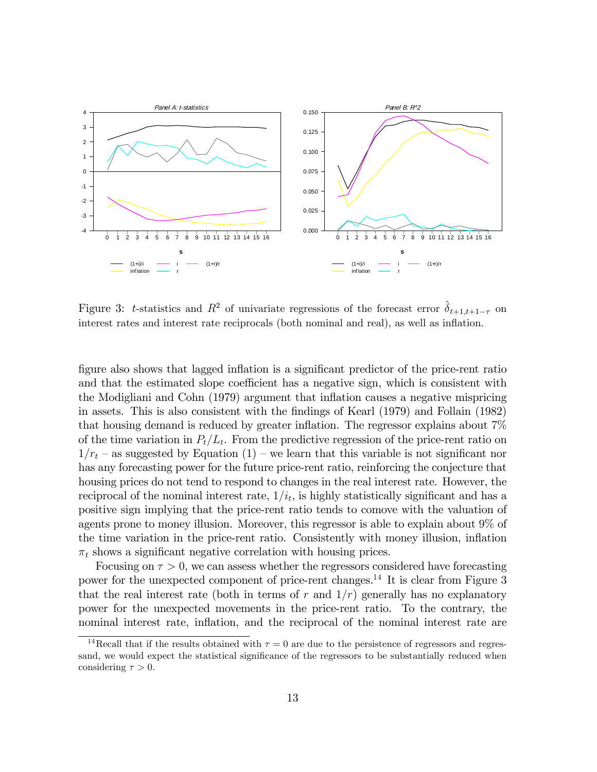

Figure 3: t-statistics and  $R^2$  of univariate regressions of the forecast error  $\hat{\delta}_{t+1,t+1-\tau}$  on interest rates and interest rate reciprocals (both nominal and real), as well as inflation.

figure also shows that lagged inflation is a significant predictor of the price-rent ratio and that the estimated slope coefficient has a negative sign, which is consistent with the Modigliani and Cohn (1979) argument that inflation causes a negative mispricing in assets. This is also consistent with the Öndings of Kearl (1979) and Follain (1982) that housing demand is reduced by greater inflation. The regressor explains about  $7\%$ of the time variation in  $P_t/L_t$ . From the predictive regression of the price-rent ratio on  $1/r_t$  – as suggested by Equation (1) – we learn that this variable is not significant nor has any forecasting power for the future price-rent ratio, reinforcing the conjecture that housing prices do not tend to respond to changes in the real interest rate. However, the reciprocal of the nominal interest rate,  $1/i_t$ , is highly statistically significant and has a positive sign implying that the price-rent ratio tends to comove with the valuation of agents prone to money illusion. Moreover, this regressor is able to explain about 9% of the time variation in the price-rent ratio. Consistently with money illusion, ináation  $\pi_t$  shows a significant negative correlation with housing prices.

Focusing on  $\tau > 0$ , we can assess whether the regressors considered have forecasting power for the unexpected component of price-rent changes.<sup>14</sup> It is clear from Figure 3 that the real interest rate (both in terms of r and  $1/r$ ) generally has no explanatory power for the unexpected movements in the price-rent ratio. To the contrary, the nominal interest rate, inflation, and the reciprocal of the nominal interest rate are

<sup>&</sup>lt;sup>14</sup>Recall that if the results obtained with  $\tau = 0$  are due to the persistence of regressors and regressand, we would expect the statistical significance of the regressors to be substantially reduced when considering  $\tau > 0$ .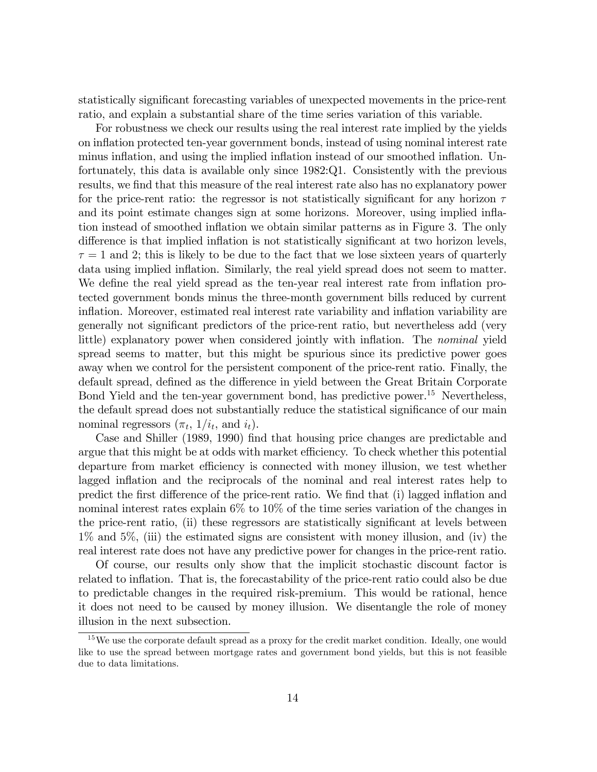statistically significant forecasting variables of unexpected movements in the price-rent ratio, and explain a substantial share of the time series variation of this variable.

For robustness we check our results using the real interest rate implied by the yields on ináation protected ten-year government bonds, instead of using nominal interest rate minus inflation, and using the implied inflation instead of our smoothed inflation. Unfortunately, this data is available only since 1982:Q1. Consistently with the previous results, we find that this measure of the real interest rate also has no explanatory power for the price-rent ratio: the regressor is not statistically significant for any horizon  $\tau$ and its point estimate changes sign at some horizons. Moreover, using implied ináation instead of smoothed ináation we obtain similar patterns as in Figure 3. The only difference is that implied inflation is not statistically significant at two horizon levels,  $\tau = 1$  and 2; this is likely to be due to the fact that we lose sixteen years of quarterly data using implied inflation. Similarly, the real yield spread does not seem to matter. We define the real yield spread as the ten-year real interest rate from inflation protected government bonds minus the three-month government bills reduced by current inflation. Moreover, estimated real interest rate variability and inflation variability are generally not significant predictors of the price-rent ratio, but nevertheless add (very little) explanatory power when considered jointly with inflation. The *nominal* yield spread seems to matter, but this might be spurious since its predictive power goes away when we control for the persistent component of the price-rent ratio. Finally, the default spread, defined as the difference in yield between the Great Britain Corporate Bond Yield and the ten-year government bond, has predictive power.<sup>15</sup> Nevertheless, the default spread does not substantially reduce the statistical significance of our main nominal regressors  $(\pi_t, 1/i_t, \text{ and } i_t).$ 

Case and Shiller (1989, 1990) find that housing price changes are predictable and argue that this might be at odds with market efficiency. To check whether this potential departure from market efficiency is connected with money illusion, we test whether lagged inflation and the reciprocals of the nominal and real interest rates help to predict the first difference of the price-rent ratio. We find that (i) lagged inflation and nominal interest rates explain 6% to 10% of the time series variation of the changes in the price-rent ratio, (ii) these regressors are statistically significant at levels between 1% and 5%, (iii) the estimated signs are consistent with money illusion, and (iv) the real interest rate does not have any predictive power for changes in the price-rent ratio.

Of course, our results only show that the implicit stochastic discount factor is related to inflation. That is, the forecastability of the price-rent ratio could also be due to predictable changes in the required risk-premium. This would be rational, hence it does not need to be caused by money illusion. We disentangle the role of money illusion in the next subsection.

<sup>&</sup>lt;sup>15</sup>We use the corporate default spread as a proxy for the credit market condition. Ideally, one would like to use the spread between mortgage rates and government bond yields, but this is not feasible due to data limitations.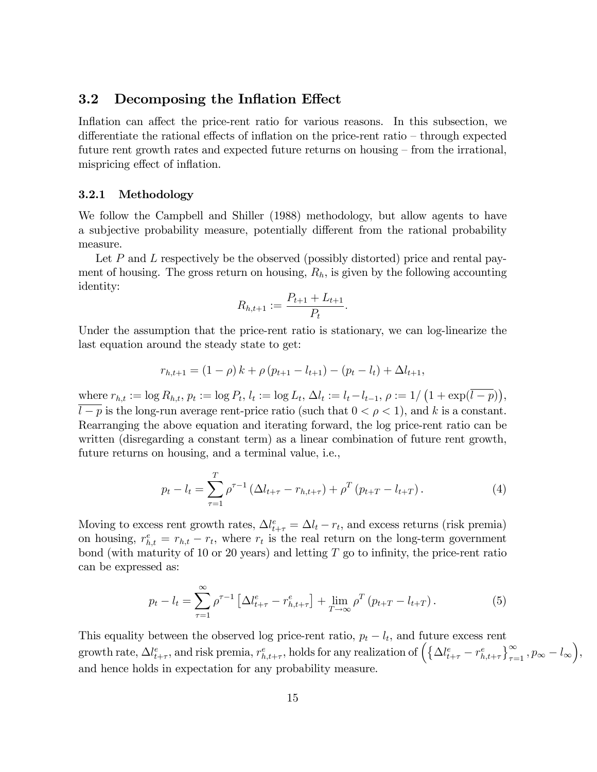### 3.2 Decomposing the Inflation Effect

Inflation can affect the price-rent ratio for various reasons. In this subsection, we differentiate the rational effects of inflation on the price-rent ratio  $-$  through expected future rent growth rates and expected future returns on housing  $\sim$  from the irrational, mispricing effect of inflation.

#### 3.2.1 Methodology

We follow the Campbell and Shiller (1988) methodology, but allow agents to have a subjective probability measure, potentially different from the rational probability measure.

Let  $P$  and  $L$  respectively be the observed (possibly distorted) price and rental payment of housing. The gross return on housing,  $R_h$ , is given by the following accounting identity:

$$
R_{h,t+1} := \frac{P_{t+1} + L_{t+1}}{P_t}.
$$

Under the assumption that the price-rent ratio is stationary, we can log-linearize the last equation around the steady state to get:

$$
r_{h,t+1} = (1 - \rho) k + \rho (p_{t+1} - l_{t+1}) - (p_t - l_t) + \Delta l_{t+1},
$$

where  $r_{h,t} := \log R_{h,t}, p_t := \log P_t, l_t := \log L_t, \Delta l_t := l_t - l_{t-1}, \rho := 1/(1 + \exp(\overline{l-p})),$  $\overline{l-p}$  is the long-run average rent-price ratio (such that  $0 < \rho < 1$ ), and k is a constant. Rearranging the above equation and iterating forward, the log price-rent ratio can be written (disregarding a constant term) as a linear combination of future rent growth, future returns on housing, and a terminal value, i.e.,

$$
p_t - l_t = \sum_{\tau=1}^T \rho^{\tau-1} \left( \Delta l_{t+\tau} - r_{h,t+\tau} \right) + \rho^T \left( p_{t+T} - l_{t+T} \right). \tag{4}
$$

Moving to excess rent growth rates,  $\Delta l_{t+\tau}^e = \Delta l_t - r_t$ , and excess returns (risk premia) on housing,  $r_{h,t}^e = r_{h,t} - r_t$ , where  $r_t$  is the real return on the long-term government bond (with maturity of 10 or 20 years) and letting  $T$  go to infinity, the price-rent ratio can be expressed as:

$$
p_t - l_t = \sum_{\tau=1}^{\infty} \rho^{\tau-1} \left[ \Delta l_{t+\tau}^e - r_{h,t+\tau}^e \right] + \lim_{T \to \infty} \rho^T \left( p_{t+T} - l_{t+T} \right). \tag{5}
$$

This equality between the observed log price-rent ratio,  $p_t - l_t$ , and future excess rent growth rate,  $\Delta l^e_{t+\tau}$ , and risk premia,  $r^e_{h,t+\tau}$ , holds for any realization of  $(\Delta l^e_{t+\tau} - r^e_{h,t+\tau})^{\infty}_{\tau=1}$ ,  $p_{\infty} - l_{\infty}$ , and hence holds in expectation for any probability measure.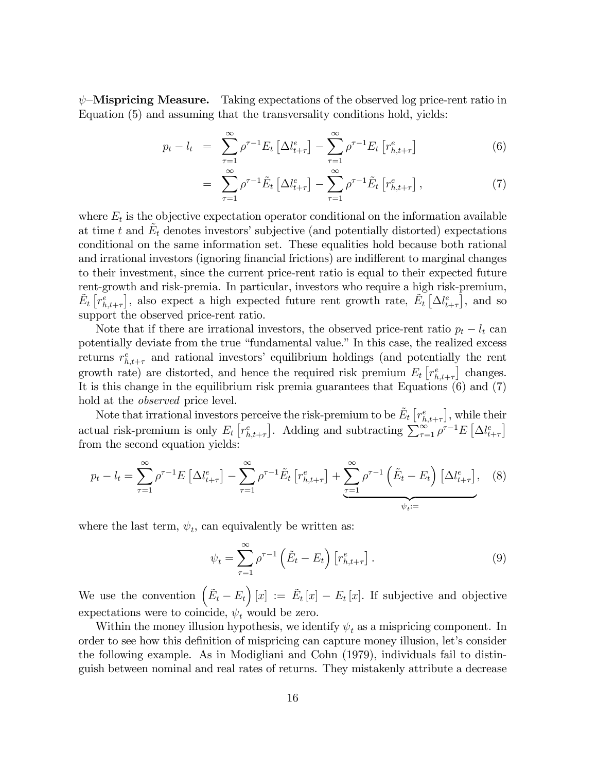$\psi$ –**Mispricing Measure.** Taking expectations of the observed log price-rent ratio in Equation (5) and assuming that the transversality conditions hold, yields:

$$
p_t - l_t = \sum_{\tau=1}^{\infty} \rho^{\tau-1} E_t \left[ \Delta l_{t+\tau}^e \right] - \sum_{\tau=1}^{\infty} \rho^{\tau-1} E_t \left[ r_{h,t+\tau}^e \right] \tag{6}
$$

$$
= \sum_{\tau=1}^{\infty} \rho^{\tau-1} \tilde{E}_t \left[ \Delta l_{t+\tau}^e \right] - \sum_{\tau=1}^{\infty} \rho^{\tau-1} \tilde{E}_t \left[ r_{h,t+\tau}^e \right], \tag{7}
$$

where  $E_t$  is the objective expectation operator conditional on the information available at time t and  $\tilde{E}_t$  denotes investors' subjective (and potentially distorted) expectations conditional on the same information set. These equalities hold because both rational and irrational investors (ignoring financial frictions) are indifferent to marginal changes to their investment, since the current price-rent ratio is equal to their expected future rent-growth and risk-premia. In particular, investors who require a high risk-premium,  $\tilde{E}_t\left[r_{h,t+\tau}^e\right]$ , also expect a high expected future rent growth rate,  $\tilde{E}_t\left[\Delta l_{t+\tau}^e\right]$ , and so support the observed price-rent ratio.

Note that if there are irrational investors, the observed price-rent ratio  $p_t - l_t$  can potentially deviate from the true "fundamental value." In this case, the realized excess returns  $r^e_{h,t+\tau}$  and rational investors' equilibrium holdings (and potentially the rent growth rate) are distorted, and hence the required risk premium  $E_t\left[r_{h,t+\tau}^e\right]$  changes. It is this change in the equilibrium risk premia guarantees that Equations (6) and (7) hold at the observed price level.

Note that irrational investors perceive the risk-premium to be  $\tilde{E}_t\left[r^e_{h,t+\tau}\right]$ , while their actual risk-premium is only  $E_t\left[r_{h,t+\tau}^e\right]$ . Adding and subtracting  $\sum_{\tau=1}^{\infty} \rho^{\tau-1} E\left[\Delta l_{t+\tau}^e\right]$ from the second equation yields:

$$
p_t - l_t = \sum_{\tau=1}^{\infty} \rho^{\tau-1} E\left[\Delta l_{t+\tau}^e\right] - \sum_{\tau=1}^{\infty} \rho^{\tau-1} \tilde{E}_t \left[r_{h,t+\tau}^e\right] + \underbrace{\sum_{\tau=1}^{\infty} \rho^{\tau-1} \left(\tilde{E}_t - E_t\right) \left[\Delta l_{t+\tau}^e\right]}_{\psi_t:=}, \quad (8)
$$

where the last term,  $\psi_t$ , can equivalently be written as:

$$
\psi_t = \sum_{\tau=1}^{\infty} \rho^{\tau-1} \left( \tilde{E}_t - E_t \right) \left[ r^e_{h,t+\tau} \right]. \tag{9}
$$

We use the convention  $(\tilde{E}_t - E_t) [x] := \tilde{E}_t [x] - E_t [x]$ . If subjective and objective expectations were to coincide,  $\psi_t$  would be zero.

Within the money illusion hypothesis, we identify  $\psi_t$  as a mispricing component. In order to see how this definition of mispricing can capture money illusion, let's consider the following example. As in Modigliani and Cohn (1979), individuals fail to distinguish between nominal and real rates of returns. They mistakenly attribute a decrease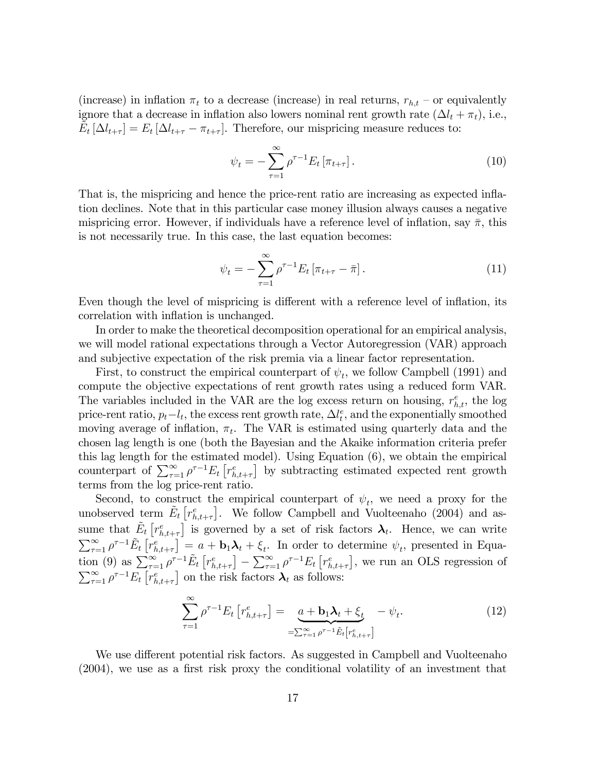(increase) in inflation  $\pi_t$  to a decrease (increase) in real returns,  $r_{h,t}$  – or equivalently ignore that a decrease in inflation also lowers nominal rent growth rate  $(\Delta l_t + \pi_t)$ , i.e.,  $\tilde{E}_t[\Delta l_{t+\tau}] = E_t[\Delta l_{t+\tau} - \pi_{t+\tau}].$  Therefore, our mispricing measure reduces to:

$$
\psi_t = -\sum_{\tau=1}^{\infty} \rho^{\tau-1} E_t \left[ \pi_{t+\tau} \right]. \tag{10}
$$

That is, the mispricing and hence the price-rent ratio are increasing as expected ináation declines. Note that in this particular case money illusion always causes a negative mispricing error. However, if individuals have a reference level of inflation, say  $\bar{\pi}$ , this is not necessarily true. In this case, the last equation becomes:

$$
\psi_t = -\sum_{\tau=1}^{\infty} \rho^{\tau-1} E_t \left[ \pi_{t+\tau} - \bar{\pi} \right]. \tag{11}
$$

Even though the level of mispricing is different with a reference level of inflation, its correlation with inflation is unchanged.

In order to make the theoretical decomposition operational for an empirical analysis, we will model rational expectations through a Vector Autoregression (VAR) approach and subjective expectation of the risk premia via a linear factor representation.

First, to construct the empirical counterpart of  $\psi_t$ , we follow Campbell (1991) and compute the objective expectations of rent growth rates using a reduced form VAR. The variables included in the VAR are the log excess return on housing,  $r_{h,t}^e$ , the log price-rent ratio,  $p_t - l_t$ , the excess rent growth rate,  $\Delta l_t^e$ , and the exponentially smoothed moving average of inflation,  $\pi_t$ . The VAR is estimated using quarterly data and the chosen lag length is one (both the Bayesian and the Akaike information criteria prefer this lag length for the estimated model). Using Equation (6), we obtain the empirical counterpart of  $\sum_{\tau=1}^{\infty} \rho^{\tau-1} E_t \left[ r^e_{h,t+\tau} \right]$  by subtracting estimated expected rent growth terms from the log price-rent ratio.

Second, to construct the empirical counterpart of  $\psi_t$ , we need a proxy for the unobserved term  $\tilde{E}_t\left[r_{h,t+\tau}^e\right]$ . We follow Campbell and Vuolteenaho (2004) and assume that  $\tilde{E}_t\left[r_{h,t+\tau}^e\right]$  is governed by a set of risk factors  $\lambda_t$ . Hence, we can write  $\sum_{\tau=1}^{\infty} \rho^{\tau-1} \tilde{E}_t \left[ r_{h,t+\tau}^e \right] = a + \mathbf{b}_1 \lambda_t + \xi_t$ . In order to determine  $\psi_t$ , presented in Equation (9) as  $\sum_{\tau=1}^{\infty} \rho^{\tau-1} \tilde{E}_t \left[ r^e_{h,t+\tau} \right] - \sum_{\tau=1}^{\infty} \rho^{\tau-1} E_t \left[ r^e_{h,t+\tau} \right]$ , we run an OLS regression of  $\sum_{\tau=1}^{\infty} \rho^{\tau-1} E_t \left[ r_{h,t+\tau}^e \right]$  on the risk factors  $\lambda_t$  as follows:

$$
\sum_{\tau=1}^{\infty} \rho^{\tau-1} E_t \left[ r^e_{h,t+\tau} \right] = \underbrace{a + \mathbf{b}_1 \lambda_t + \xi_t}_{\mathbf{b}_1 \sum_{\tau=1}^{\infty} \rho^{\tau-1} \tilde{E}_t \left[ r^e_{h,t+\tau} \right]} - \psi_t.
$$
\n(12)

We use different potential risk factors. As suggested in Campbell and Vuolteenaho (2004), we use as a first risk proxy the conditional volatility of an investment that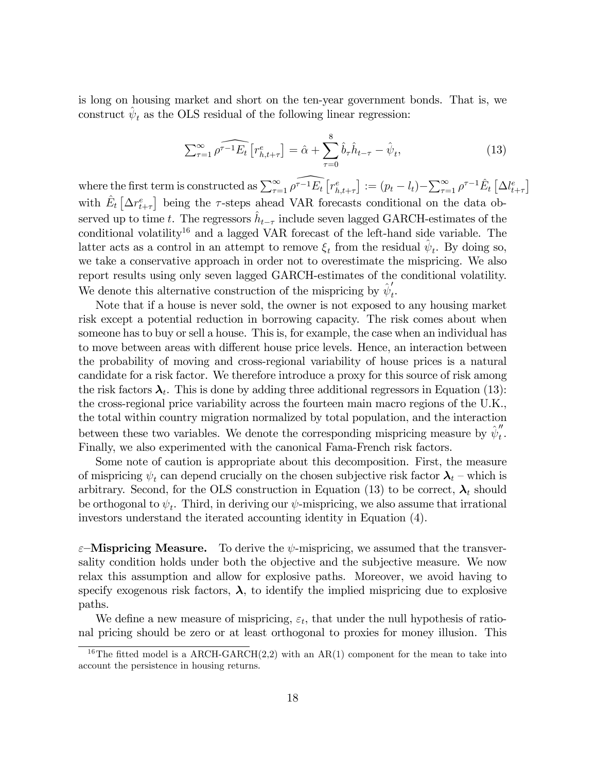is long on housing market and short on the ten-year government bonds. That is, we construct  $\hat{\psi}_t$  as the OLS residual of the following linear regression:

$$
\sum_{\tau=1}^{\infty} \widehat{\rho^{\tau-1} E_t} \left[ r_{h,t+\tau}^e \right] = \hat{\alpha} + \sum_{\tau=0}^{8} \hat{b}_{\tau} \hat{h}_{t-\tau} - \hat{\psi}_t, \tag{13}
$$

where the first term is constructed as  $\sum_{\tau=1}^{\infty} \rho^{\tau-1} E_t \left[ r^e_{h,t+\tau} \right] := (p_t - l_t) - \sum_{\tau=1}^{\infty} \rho^{\tau-1} \hat{E}_t \left[ \Delta l^e_{t+\tau} \right]$ with  $\hat{E}_t\left[\Delta r_{t+\tau}^e\right]$  being the  $\tau$ -steps ahead VAR forecasts conditional on the data observed up to time t. The regressors  $\hat{h}_{t-\tau}$  include seven lagged GARCH-estimates of the conditional volatility<sup>16</sup> and a lagged VAR forecast of the left-hand side variable. The latter acts as a control in an attempt to remove  $\xi_t$  from the residual  $\hat{\psi}_t$ . By doing so, we take a conservative approach in order not to overestimate the mispricing. We also report results using only seven lagged GARCH-estimates of the conditional volatility. We denote this alternative construction of the mispricing by  $\hat{\psi}'_t$ .<br>t:

Note that if a house is never sold, the owner is not exposed to any housing market risk except a potential reduction in borrowing capacity. The risk comes about when someone has to buy or sell a house. This is, for example, the case when an individual has to move between areas with different house price levels. Hence, an interaction between the probability of moving and cross-regional variability of house prices is a natural candidate for a risk factor. We therefore introduce a proxy for this source of risk among the risk factors  $\lambda_t$ . This is done by adding three additional regressors in Equation (13): the cross-regional price variability across the fourteen main macro regions of the U.K., the total within country migration normalized by total population, and the interaction between these two variables. We denote the corresponding mispricing measure by  $\hat{\psi}''_t$  $\frac{1}{t}$ . Finally, we also experimented with the canonical Fama-French risk factors.

Some note of caution is appropriate about this decomposition. First, the measure of mispricing  $\psi_t$  can depend crucially on the chosen subjective risk factor  $\lambda_t$  – which is arbitrary. Second, for the OLS construction in Equation (13) to be correct,  $\lambda_t$  should be orthogonal to  $\psi_t$ . Third, in deriving our  $\psi$ -mispricing, we also assume that irrational investors understand the iterated accounting identity in Equation (4).

 $\varepsilon$ -Mispricing Measure. To derive the  $\psi$ -mispricing, we assumed that the transversality condition holds under both the objective and the subjective measure. We now relax this assumption and allow for explosive paths. Moreover, we avoid having to specify exogenous risk factors,  $\lambda$ , to identify the implied mispricing due to explosive paths.

We define a new measure of mispricing,  $\varepsilon_t$ , that under the null hypothesis of rational pricing should be zero or at least orthogonal to proxies for money illusion. This

<sup>&</sup>lt;sup>16</sup>The fitted model is a ARCH-GARCH $(2,2)$  with an AR $(1)$  component for the mean to take into account the persistence in housing returns.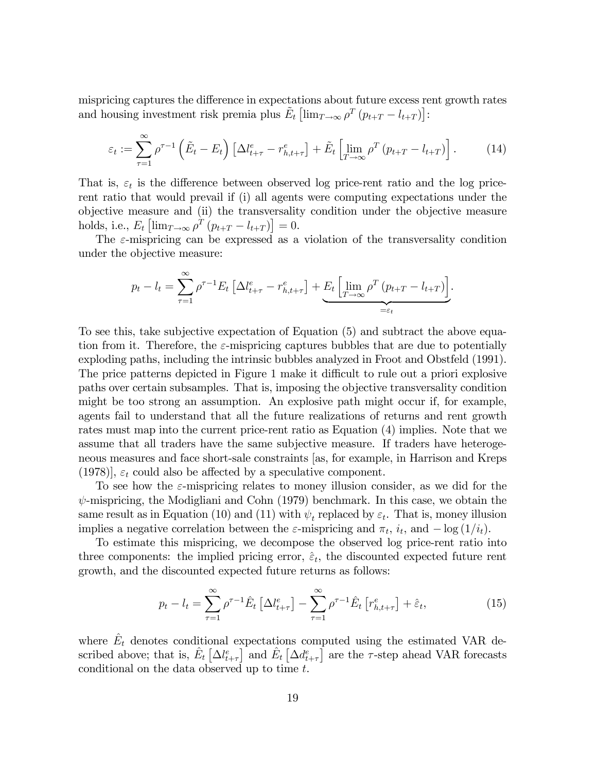mispricing captures the difference in expectations about future excess rent growth rates and housing investment risk premia plus  $\tilde{E}_t \left[ \lim_{T \to \infty} \rho^T (p_{t+T} - l_{t+T}) \right]$ :

$$
\varepsilon_t := \sum_{\tau=1}^{\infty} \rho^{\tau-1} \left( \tilde{E}_t - E_t \right) \left[ \Delta l_{t+\tau}^e - r_{h,t+\tau}^e \right] + \tilde{E}_t \left[ \lim_{T \to \infty} \rho^T \left( p_{t+T} - l_{t+T} \right) \right]. \tag{14}
$$

That is,  $\varepsilon_t$  is the difference between observed log price-rent ratio and the log pricerent ratio that would prevail if (i) all agents were computing expectations under the objective measure and (ii) the transversality condition under the objective measure holds, i.e.,  $E_t \left[ \lim_{T \to \infty} \rho^T \left( p_{t+T} - l_{t+T} \right) \right] = 0.$ 

The  $\varepsilon$ -mispricing can be expressed as a violation of the transversality condition under the objective measure:

$$
p_t - l_t = \sum_{\tau=1}^{\infty} \rho^{\tau-1} E_t \left[ \Delta l_{t+\tau}^e - r_{h,t+\tau}^e \right] + \underbrace{E_t \left[ \lim_{T \to \infty} \rho^T \left( p_{t+T} - l_{t+T} \right) \right]}_{= \varepsilon_t}.
$$

To see this, take subjective expectation of Equation (5) and subtract the above equation from it. Therefore, the  $\varepsilon$ -mispricing captures bubbles that are due to potentially exploding paths, including the intrinsic bubbles analyzed in Froot and Obstfeld (1991). The price patterns depicted in Figure 1 make it difficult to rule out a priori explosive paths over certain subsamples. That is, imposing the objective transversality condition might be too strong an assumption. An explosive path might occur if, for example, agents fail to understand that all the future realizations of returns and rent growth rates must map into the current price-rent ratio as Equation (4) implies. Note that we assume that all traders have the same subjective measure. If traders have heterogeneous measures and face short-sale constraints [as, for example, in Harrison and Kreps (1978)],  $\varepsilon_t$  could also be affected by a speculative component.

To see how the  $\varepsilon$ -mispricing relates to money illusion consider, as we did for the  $\psi$ -mispricing, the Modigliani and Cohn (1979) benchmark. In this case, we obtain the same result as in Equation (10) and (11) with  $\psi_t$  replaced by  $\varepsilon_t$ . That is, money illusion implies a negative correlation between the  $\varepsilon$ -mispricing and  $\pi_t$ ,  $i_t$ , and  $-\log(1/i_t)$ .

To estimate this mispricing, we decompose the observed log price-rent ratio into three components: the implied pricing error,  $\hat{\varepsilon}_t$ , the discounted expected future rent growth, and the discounted expected future returns as follows:

$$
p_t - l_t = \sum_{\tau=1}^{\infty} \rho^{\tau-1} \hat{E}_t \left[ \Delta l_{t+\tau}^e \right] - \sum_{\tau=1}^{\infty} \rho^{\tau-1} \hat{E}_t \left[ r_{h,t+\tau}^e \right] + \hat{\varepsilon}_t, \tag{15}
$$

where  $\hat{E}_t$  denotes conditional expectations computed using the estimated VAR described above; that is,  $\hat{E}_t \left[ \Delta l_{t+\tau}^e \right]$  and  $\hat{E}_t \left[ \Delta d_{t+\tau}^e \right]$  are the  $\tau$ -step ahead VAR forecasts conditional on the data observed up to time t.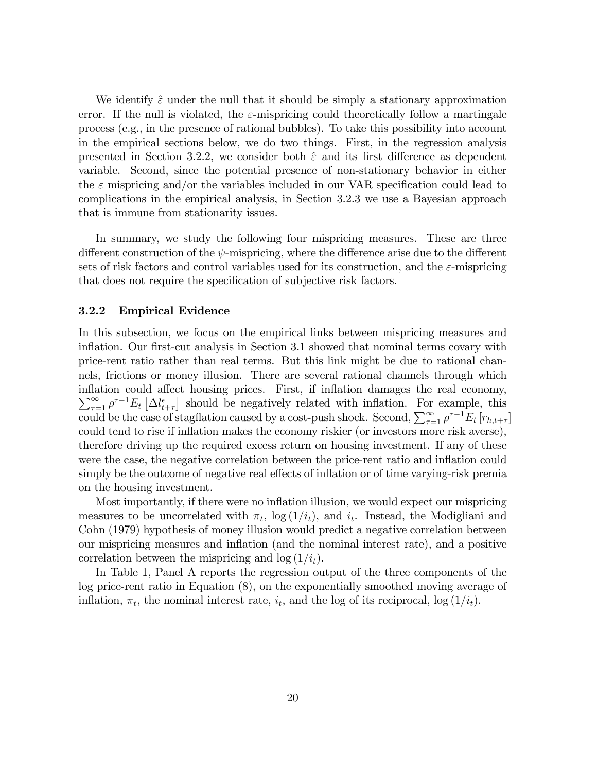We identify  $\hat{\varepsilon}$  under the null that it should be simply a stationary approximation error. If the null is violated, the  $\varepsilon$ -mispricing could theoretically follow a martingale process (e.g., in the presence of rational bubbles). To take this possibility into account in the empirical sections below, we do two things. First, in the regression analysis presented in Section 3.2.2, we consider both  $\hat{\varepsilon}$  and its first difference as dependent variable. Second, since the potential presence of non-stationary behavior in either the  $\varepsilon$  mispricing and/or the variables included in our VAR specification could lead to complications in the empirical analysis, in Section 3.2.3 we use a Bayesian approach that is immune from stationarity issues.

In summary, we study the following four mispricing measures. These are three different construction of the  $\psi$ -mispricing, where the difference arise due to the different sets of risk factors and control variables used for its construction, and the  $\varepsilon$ -mispricing that does not require the specification of subjective risk factors.

#### 3.2.2 Empirical Evidence

In this subsection, we focus on the empirical links between mispricing measures and inflation. Our first-cut analysis in Section 3.1 showed that nominal terms covary with price-rent ratio rather than real terms. But this link might be due to rational channels, frictions or money illusion. There are several rational channels through which inflation could affect housing prices. First, if inflation damages the real economy,  $\sum_{\tau=1}^{\infty} \rho^{\tau-1} E_t \left[ \Delta l_{t+\tau}^e \right]$  should be negatively related with inflation. For example, this could be the case of stagflation caused by a cost-push shock. Second,  $\sum_{\tau=1}^{\infty} \rho^{\tau-1} E_t [r_{h,t+\tau}]$ could tend to rise if ináation makes the economy riskier (or investors more risk averse), therefore driving up the required excess return on housing investment. If any of these were the case, the negative correlation between the price-rent ratio and inflation could simply be the outcome of negative real effects of inflation or of time varying-risk premia on the housing investment.

Most importantly, if there were no ináation illusion, we would expect our mispricing measures to be uncorrelated with  $\pi_t$ ,  $\log(1/i_t)$ , and  $i_t$ . Instead, the Modigliani and Cohn (1979) hypothesis of money illusion would predict a negative correlation between our mispricing measures and ináation (and the nominal interest rate), and a positive correlation between the mispricing and  $log(1/i_t)$ .

In Table 1, Panel A reports the regression output of the three components of the log price-rent ratio in Equation (8), on the exponentially smoothed moving average of inflation,  $\pi_t$ , the nominal interest rate,  $i_t$ , and the log of its reciprocal, log  $(1/i_t)$ .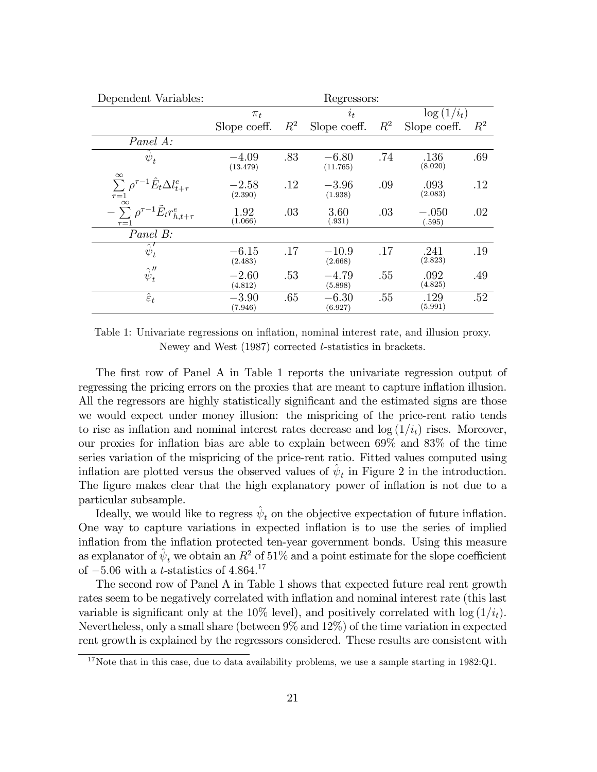| Dependent Variables:                                                 | Regressors:         |       |                     |       |                   |                 |  |
|----------------------------------------------------------------------|---------------------|-------|---------------------|-------|-------------------|-----------------|--|
|                                                                      | $\pi_t$             |       | $\iota_t$           |       |                   | $\log{(1/i_t)}$ |  |
|                                                                      | Slope coeff.        | $R^2$ | Slope coeff.        | $R^2$ | Slope coeff.      | $R^2$           |  |
| Panel A:                                                             |                     |       |                     |       |                   |                 |  |
| $\psi_t$                                                             | $-4.09$<br>(13.479) | .83   | $-6.80$<br>(11.765) | .74   | .136<br>(8.020)   | .69             |  |
| $\sum_{\tau=1}^{\infty} \rho^{\tau-1} \hat{E}_t \Delta l_{t+\tau}^e$ | $-2.58$<br>(2.390)  | .12   | $-3.96$<br>(1.938)  | .09   | .093<br>(2.083)   | .12             |  |
| $-\sum_{\tau=1}^{\infty}\rho^{\tau-1}\tilde{E}_tr^e_{h,t+\tau}$      | 1.92<br>(1.066)     | .03   | 3.60<br>(.931)      | .03   | $-.050$<br>(.595) | .02             |  |
| Panel B:                                                             |                     |       |                     |       |                   |                 |  |
| $\hat{\psi}_t$                                                       | $-6.15$<br>(2.483)  | .17   | $-10.9$<br>(2.668)  | .17   | .241<br>(2.823)   | .19             |  |
| $\hat{\psi}''_t$                                                     | $-2.60$<br>(4.812)  | .53   | $-4.79$<br>(5.898)  | .55   | .092<br>(4.825)   | .49             |  |
| $\hat{\varepsilon}_t$                                                | $-3.90$<br>(7.946)  | .65   | $-6.30$<br>(6.927)  | .55   | .129<br>(5.991)   | .52             |  |

Table 1: Univariate regressions on inflation, nominal interest rate, and illusion proxy. Newey and West (1987) corrected t-statistics in brackets.

The first row of Panel A in Table 1 reports the univariate regression output of regressing the pricing errors on the proxies that are meant to capture inflation illusion. All the regressors are highly statistically significant and the estimated signs are those we would expect under money illusion: the mispricing of the price-rent ratio tends to rise as inflation and nominal interest rates decrease and  $log(1/i_t)$  rises. Moreover, our proxies for ináation bias are able to explain between 69% and 83% of the time series variation of the mispricing of the price-rent ratio. Fitted values computed using inflation are plotted versus the observed values of  $\hat{\psi}_t$  in Figure 2 in the introduction. The figure makes clear that the high explanatory power of inflation is not due to a particular subsample.

Ideally, we would like to regress  $\hat{\psi}_t$  on the objective expectation of future inflation. One way to capture variations in expected inflation is to use the series of implied inflation from the inflation protected ten-year government bonds. Using this measure as explanator of  $\hat{\psi}_t$  we obtain an  $R^2$  of 51% and a point estimate for the slope coefficient of  $-5.06$  with a t-statistics of  $4.864^{17}$ 

The second row of Panel A in Table 1 shows that expected future real rent growth rates seem to be negatively correlated with inflation and nominal interest rate (this last variable is significant only at the 10% level), and positively correlated with  $\log(1/i_t)$ . Nevertheless, only a small share (between 9% and 12%) of the time variation in expected rent growth is explained by the regressors considered. These results are consistent with

<sup>&</sup>lt;sup>17</sup>Note that in this case, due to data availability problems, we use a sample starting in  $1982:Q1$ .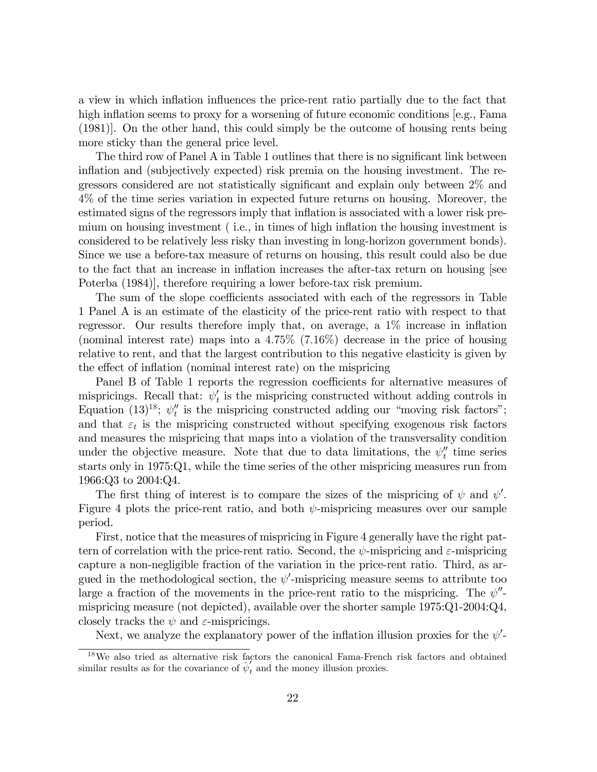a view in which inflation influences the price-rent ratio partially due to the fact that high inflation seems to proxy for a worsening of future economic conditions  $[e.g., Fama$ (1981)]. On the other hand, this could simply be the outcome of housing rents being more sticky than the general price level.

The third row of Panel A in Table 1 outlines that there is no significant link between inflation and (subjectively expected) risk premia on the housing investment. The regressors considered are not statistically significant and explain only between  $2\%$  and 4% of the time series variation in expected future returns on housing. Moreover, the estimated signs of the regressors imply that inflation is associated with a lower risk premium on housing investment  $($ i.e., in times of high inflation the housing investment is considered to be relatively less risky than investing in long-horizon government bonds). Since we use a before-tax measure of returns on housing, this result could also be due to the fact that an increase in inflation increases the after-tax return on housing [see Poterba (1984)], therefore requiring a lower before-tax risk premium.

The sum of the slope coefficients associated with each of the regressors in Table 1 Panel A is an estimate of the elasticity of the price-rent ratio with respect to that regressor. Our results therefore imply that, on average, a  $1\%$  increase in inflation (nominal interest rate) maps into a 4:75% (7:16%) decrease in the price of housing relative to rent, and that the largest contribution to this negative elasticity is given by the effect of inflation (nominal interest rate) on the mispricing

Panel B of Table 1 reports the regression coefficients for alternative measures of mispricings. Recall that:  $\psi'_t$  is the mispricing constructed without adding controls in Equation (13)<sup>18</sup>;  $\psi''_t$  is the mispricing constructed adding our "moving risk factors"; and that  $\varepsilon_t$  is the mispricing constructed without specifying exogenous risk factors and measures the mispricing that maps into a violation of the transversality condition under the objective measure. Note that due to data limitations, the  $\psi_t''$  time series starts only in 1975:Q1, while the time series of the other mispricing measures run from 1966:Q3 to 2004:Q4.

The first thing of interest is to compare the sizes of the mispricing of  $\psi$  and  $\psi'$ . Figure 4 plots the price-rent ratio, and both  $\psi$ -mispricing measures over our sample period.

First, notice that the measures of mispricing in Figure 4 generally have the right pattern of correlation with the price-rent ratio. Second, the  $\psi$ -mispricing and  $\varepsilon$ -mispricing capture a non-negligible fraction of the variation in the price-rent ratio. Third, as argued in the methodological section, the  $\psi'$ -mispricing measure seems to attribute too large a fraction of the movements in the price-rent ratio to the mispricing. The  $\psi''$ mispricing measure (not depicted), available over the shorter sample 1975:Q1-2004:Q4, closely tracks the  $\psi$  and  $\varepsilon$ -mispricings.

Next, we analyze the explanatory power of the inflation illusion proxies for the  $\psi'$ -

<sup>&</sup>lt;sup>18</sup>We also tried as alternative risk factors the canonical Fama-French risk factors and obtained similar results as for the covariance of  $\hat{\psi}'_t$  and the money illusion proxies.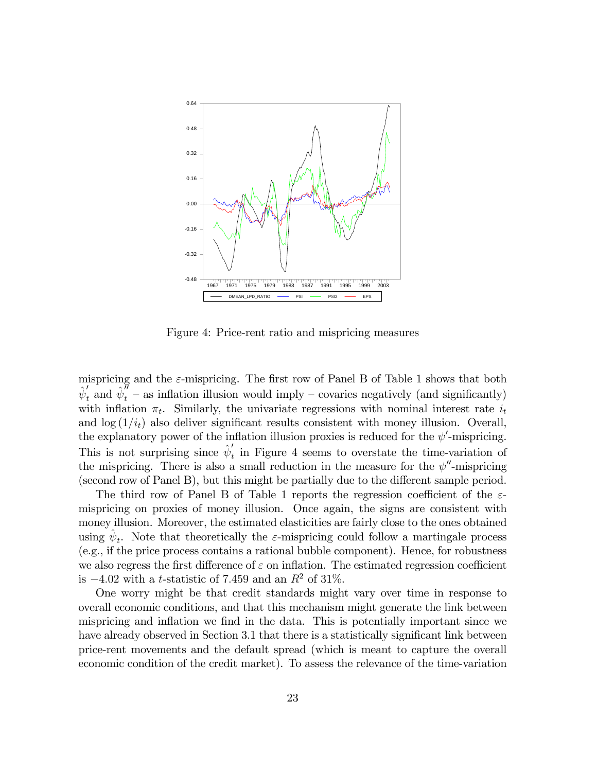

Figure 4: Price-rent ratio and mispricing measures

mispricing and the  $\varepsilon$ -mispricing. The first row of Panel B of Table 1 shows that both  $\hat{\psi}'_t$  and  $\hat{\psi}''_t$  – as inflation illusion would imply – covaries negatively (and significantly) with inflation  $\pi_t$ . Similarly, the univariate regressions with nominal interest rate  $i_t$ and  $\log(1/i_t)$  also deliver significant results consistent with money illusion. Overall, the explanatory power of the inflation illusion proxies is reduced for the  $\psi'$ -mispricing. This is not surprising since  $\hat{\psi}'_t$  $t<sub>t</sub>$  in Figure 4 seems to overstate the time-variation of the mispricing. There is also a small reduction in the measure for the  $\psi''$ -mispricing (second row of Panel B), but this might be partially due to the different sample period.

The third row of Panel B of Table 1 reports the regression coefficient of the  $\varepsilon$ mispricing on proxies of money illusion. Once again, the signs are consistent with money illusion. Moreover, the estimated elasticities are fairly close to the ones obtained using  $\hat{\psi}_t$ . Note that theoretically the  $\varepsilon$ -mispricing could follow a martingale process (e.g., if the price process contains a rational bubble component). Hence, for robustness we also regress the first difference of  $\varepsilon$  on inflation. The estimated regression coefficient is  $-4.02$  with a t-statistic of 7.459 and an  $R^2$  of 31%.

One worry might be that credit standards might vary over time in response to overall economic conditions, and that this mechanism might generate the link between mispricing and inflation we find in the data. This is potentially important since we have already observed in Section 3.1 that there is a statistically significant link between price-rent movements and the default spread (which is meant to capture the overall economic condition of the credit market). To assess the relevance of the time-variation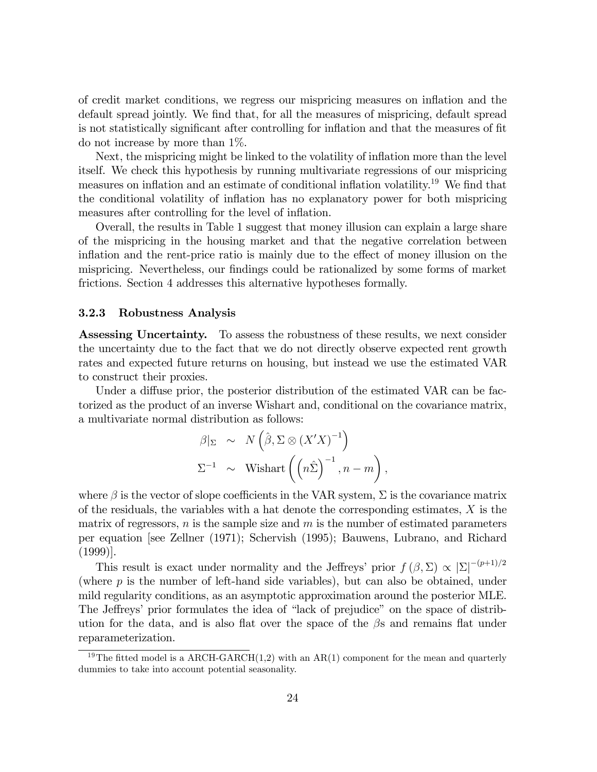of credit market conditions, we regress our mispricing measures on ináation and the default spread jointly. We find that, for all the measures of mispricing, default spread is not statistically significant after controlling for inflation and that the measures of fit do not increase by more than 1%.

Next, the mispricing might be linked to the volatility of inflation more than the level itself. We check this hypothesis by running multivariate regressions of our mispricing measures on inflation and an estimate of conditional inflation volatility.<sup>19</sup> We find that the conditional volatility of inflation has no explanatory power for both mispricing measures after controlling for the level of inflation.

Overall, the results in Table 1 suggest that money illusion can explain a large share of the mispricing in the housing market and that the negative correlation between inflation and the rent-price ratio is mainly due to the effect of money illusion on the mispricing. Nevertheless, our findings could be rationalized by some forms of market frictions. Section 4 addresses this alternative hypotheses formally.

#### 3.2.3 Robustness Analysis

Assessing Uncertainty. To assess the robustness of these results, we next consider the uncertainty due to the fact that we do not directly observe expected rent growth rates and expected future returns on housing, but instead we use the estimated VAR to construct their proxies.

Under a diffuse prior, the posterior distribution of the estimated VAR can be factorized as the product of an inverse Wishart and, conditional on the covariance matrix, a multivariate normal distribution as follows:

$$
\beta|_{\Sigma} \sim N\left(\hat{\beta}, \Sigma \otimes (X'X)^{-1}\right)
$$
  

$$
\Sigma^{-1} \sim \text{Wishart}\left(\left(n\hat{\Sigma}\right)^{-1}, n-m\right),
$$

where  $\beta$  is the vector of slope coefficients in the VAR system,  $\Sigma$  is the covariance matrix of the residuals, the variables with a hat denote the corresponding estimates,  $X$  is the matrix of regressors,  $n$  is the sample size and  $m$  is the number of estimated parameters per equation [see Zellner (1971); Schervish (1995); Bauwens, Lubrano, and Richard (1999)].

This result is exact under normality and the Jeffreys' prior  $f(\beta, \Sigma) \propto |\Sigma|^{-(p+1)/2}$ (where  $p$  is the number of left-hand side variables), but can also be obtained, under mild regularity conditions, as an asymptotic approximation around the posterior MLE. The Jeffreys' prior formulates the idea of "lack of prejudice" on the space of distribution for the data, and is also flat over the space of the  $\beta$ s and remains flat under reparameterization.

<sup>&</sup>lt;sup>19</sup>The fitted model is a ARCH-GARCH $(1,2)$  with an AR $(1)$  component for the mean and quarterly dummies to take into account potential seasonality.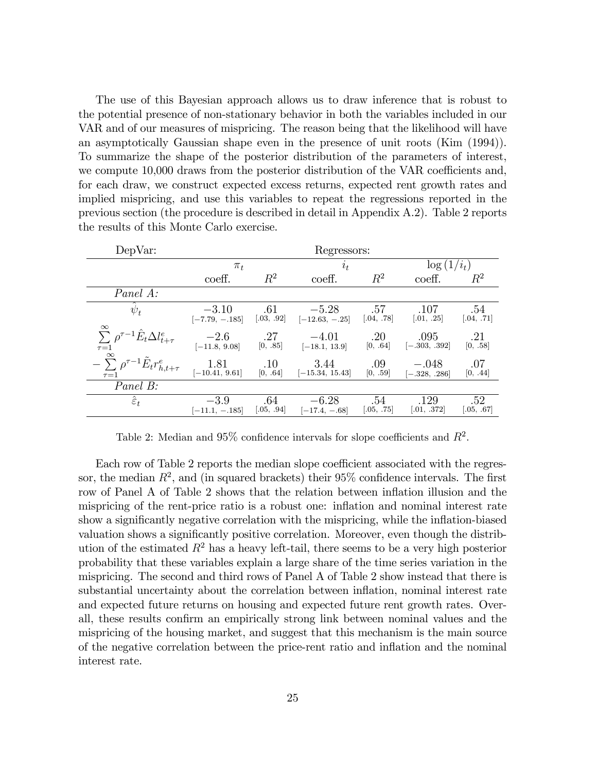The use of this Bayesian approach allows us to draw inference that is robust to the potential presence of non-stationary behavior in both the variables included in our VAR and of our measures of mispricing. The reason being that the likelihood will have an asymptotically Gaussian shape even in the presence of unit roots (Kim (1994)). To summarize the shape of the posterior distribution of the parameters of interest, we compute  $10,000$  draws from the posterior distribution of the VAR coefficients and, for each draw, we construct expected excess returns, expected rent growth rates and implied mispricing, and use this variables to repeat the regressions reported in the previous section (the procedure is described in detail in Appendix A.2). Table 2 reports the results of this Monte Carlo exercise.

| DepVar:                                                                                   | Regressors:                |                   |                              |                   |                            |                   |  |
|-------------------------------------------------------------------------------------------|----------------------------|-------------------|------------------------------|-------------------|----------------------------|-------------------|--|
|                                                                                           | $\pi_t$                    |                   | $i_t$                        |                   |                            | $\log{(1/i_t)}$   |  |
|                                                                                           | coeff.                     | $R^2$             | coeff.                       | $R^2$             | coeff.                     | $R^2$             |  |
| Panel A:                                                                                  |                            |                   |                              |                   |                            |                   |  |
| $\widehat{\psi}_t$                                                                        | $-3.10$<br>$[-7.79, -185]$ | .61<br>[.03, .92] | $-5.28$<br>$[-12.63, -0.25]$ | .57<br>[.04, .78] | .107<br>[.01, .25]         | .54<br>[.04, .71] |  |
| $\infty$<br>$\sum \rho^{\tau-1} \hat{E}_t \Delta l_{t+\tau}^e$<br>$\tau = 1$              | $-2.6$<br>$[-11.8, 9.08]$  | .27<br>[0, .85]   | $-4.01$<br>$[-18.1, 13.9]$   | .20<br>[0, .64]   | .095<br>$[-.303, .392]$    | .21<br>[0, .58]   |  |
| $\infty$<br>$-\sum_{i=1}^{\infty} \rho^{\tau-1} \tilde{E}_t r_{h,t+\tau}^e$<br>$\tau = 1$ | 1.81<br>$[-10.41, 9.61]$   | .10<br>[0, .64]   | 3.44<br>$[-15.34, 15.43]$    | .09<br>[0, .59]   | $-.048$<br>$[-.328, .286]$ | .07<br>[0, .44]   |  |
| Panel B:                                                                                  |                            |                   |                              |                   |                            |                   |  |
| $\hat{\varepsilon}_t$                                                                     | $-3.9$<br>$[-11.1, -185]$  | .64<br>[.05, .94] | $-6.28$<br>$[-17.4, -0.68]$  | .54<br>[.05, .75] | .129<br>[.01, .372]        | .52<br>[.05, .67] |  |

Table 2: Median and  $95\%$  confidence intervals for slope coefficients and  $R^2$ .

Each row of Table 2 reports the median slope coefficient associated with the regressor, the median  $R^2$ , and (in squared brackets) their 95% confidence intervals. The first row of Panel A of Table 2 shows that the relation between inflation illusion and the mispricing of the rent-price ratio is a robust one: inflation and nominal interest rate show a significantly negative correlation with the mispricing, while the inflation-biased valuation shows a significantly positive correlation. Moreover, even though the distribution of the estimated  $R^2$  has a heavy left-tail, there seems to be a very high posterior probability that these variables explain a large share of the time series variation in the mispricing. The second and third rows of Panel A of Table 2 show instead that there is substantial uncertainty about the correlation between inflation, nominal interest rate and expected future returns on housing and expected future rent growth rates. Overall, these results confirm an empirically strong link between nominal values and the mispricing of the housing market, and suggest that this mechanism is the main source of the negative correlation between the price-rent ratio and ináation and the nominal interest rate.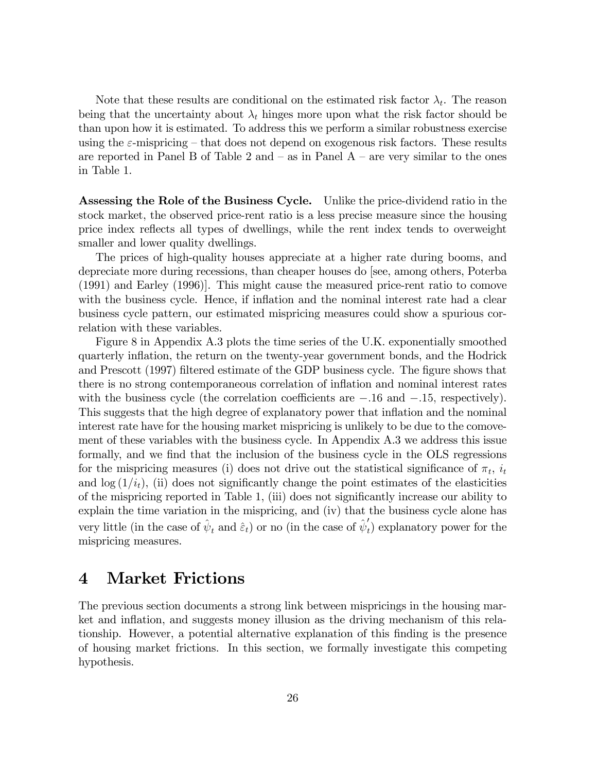Note that these results are conditional on the estimated risk factor  $\lambda_t$ . The reason being that the uncertainty about  $\lambda_t$  hinges more upon what the risk factor should be than upon how it is estimated. To address this we perform a similar robustness exercise using the  $\varepsilon$ -mispricing – that does not depend on exogenous risk factors. These results are reported in Panel B of Table 2 and  $-$  as in Panel A  $-$  are very similar to the ones in Table 1.

Assessing the Role of the Business Cycle. Unlike the price-dividend ratio in the stock market, the observed price-rent ratio is a less precise measure since the housing price index reflects all types of dwellings, while the rent index tends to overweight smaller and lower quality dwellings.

The prices of high-quality houses appreciate at a higher rate during booms, and depreciate more during recessions, than cheaper houses do [see, among others, Poterba (1991) and Earley (1996)]. This might cause the measured price-rent ratio to comove with the business cycle. Hence, if inflation and the nominal interest rate had a clear business cycle pattern, our estimated mispricing measures could show a spurious correlation with these variables.

Figure 8 in Appendix A.3 plots the time series of the U.K. exponentially smoothed quarterly ináation, the return on the twenty-year government bonds, and the Hodrick and Prescott (1997) filtered estimate of the GDP business cycle. The figure shows that there is no strong contemporaneous correlation of ináation and nominal interest rates with the business cycle (the correlation coefficients are  $-.16$  and  $-.15$ , respectively). This suggests that the high degree of explanatory power that inflation and the nominal interest rate have for the housing market mispricing is unlikely to be due to the comovement of these variables with the business cycle. In Appendix A.3 we address this issue formally, and we find that the inclusion of the business cycle in the OLS regressions for the mispricing measures (i) does not drive out the statistical significance of  $\pi_t$ ,  $i_t$ and  $\log(1/i_t)$ , (ii) does not significantly change the point estimates of the elasticities of the mispricing reported in Table 1, (iii) does not significantly increase our ability to explain the time variation in the mispricing, and (iv) that the business cycle alone has very little (in the case of  $\hat{\psi}_t$  and  $\hat{\varepsilon}_t$ ) or no (in the case of  $\hat{\psi}'_t$  $t<sub>t</sub>$ ) explanatory power for the mispricing measures.

## 4 Market Frictions

The previous section documents a strong link between mispricings in the housing market and inflation, and suggests money illusion as the driving mechanism of this relationship. However, a potential alternative explanation of this Önding is the presence of housing market frictions. In this section, we formally investigate this competing hypothesis.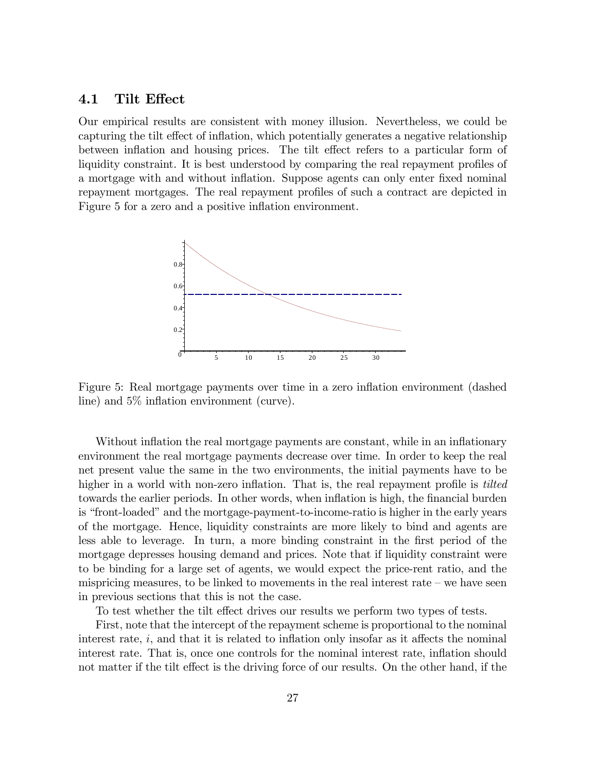#### 4.1 Tilt Effect

Our empirical results are consistent with money illusion. Nevertheless, we could be capturing the tilt effect of inflation, which potentially generates a negative relationship between inflation and housing prices. The tilt effect refers to a particular form of liquidity constraint. It is best understood by comparing the real repayment profiles of a mortgage with and without inflation. Suppose agents can only enter fixed nominal repayment mortgages. The real repayment profiles of such a contract are depicted in Figure 5 for a zero and a positive inflation environment.



Figure 5: Real mortgage payments over time in a zero inflation environment (dashed line) and  $5\%$  inflation environment (curve).

Without inflation the real mortgage payments are constant, while in an inflationary environment the real mortgage payments decrease over time. In order to keep the real net present value the same in the two environments, the initial payments have to be higher in a world with non-zero inflation. That is, the real repayment profile is *tilted* towards the earlier periods. In other words, when inflation is high, the financial burden is "front-loaded" and the mortgage-payment-to-income-ratio is higher in the early years of the mortgage. Hence, liquidity constraints are more likely to bind and agents are less able to leverage. In turn, a more binding constraint in the first period of the mortgage depresses housing demand and prices. Note that if liquidity constraint were to be binding for a large set of agents, we would expect the price-rent ratio, and the mispricing measures, to be linked to movements in the real interest rate  $-$  we have seen in previous sections that this is not the case.

To test whether the tilt effect drives our results we perform two types of tests.

First, note that the intercept of the repayment scheme is proportional to the nominal interest rate,  $i$ , and that it is related to inflation only insofar as it affects the nominal interest rate. That is, once one controls for the nominal interest rate, inflation should not matter if the tilt effect is the driving force of our results. On the other hand, if the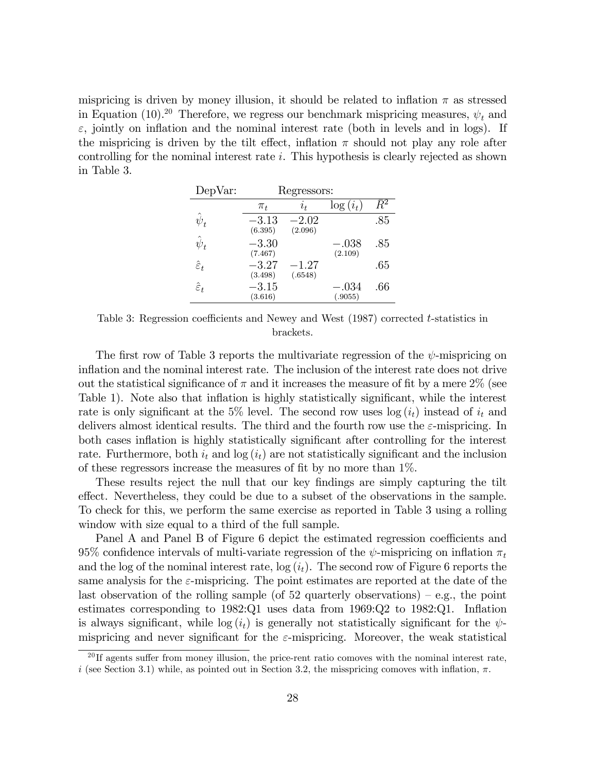mispricing is driven by money illusion, it should be related to inflation  $\pi$  as stressed in Equation (10).<sup>20</sup> Therefore, we regress our benchmark mispricing measures,  $\psi_t$  and  $\varepsilon$ , jointly on inflation and the nominal interest rate (both in levels and in logs). If the mispricing is driven by the tilt effect, inflation  $\pi$  should not play any role after controlling for the nominal interest rate i. This hypothesis is clearly rejected as shown in Table 3.

| DepVar:               | Regressors:          |                      |                    |             |  |  |  |
|-----------------------|----------------------|----------------------|--------------------|-------------|--|--|--|
|                       | $\pi_t$              | $i_t$                | $\log(i_t)$        | $\bar{R}^2$ |  |  |  |
| $\psi_t$              | $-3.13\,$<br>(6.395) | $-2.02\,$<br>(2.096) |                    | .85         |  |  |  |
| $\psi_t$              | $-3.30$<br>(7.467)   |                      | $-.038$<br>(2.109) | .85         |  |  |  |
| $\hat{\varepsilon}_t$ | $-3.27$<br>(3.498)   | $-1.27\,$<br>(.6548) |                    | .65         |  |  |  |
| $\hat{\varepsilon}_t$ | $-3.15$<br>(3.616)   |                      | $-.034$<br>(.9055) | .66         |  |  |  |

Table 3: Regression coefficients and Newey and West  $(1987)$  corrected t-statistics in brackets.

The first row of Table 3 reports the multivariate regression of the  $\psi$ -mispricing on inflation and the nominal interest rate. The inclusion of the interest rate does not drive out the statistical significance of  $\pi$  and it increases the measure of fit by a mere  $2\%$  (see Table 1). Note also that inflation is highly statistically significant, while the interest rate is only significant at the 5% level. The second row uses  $log(i_t)$  instead of  $i_t$  and delivers almost identical results. The third and the fourth row use the  $\varepsilon$ -mispricing. In both cases inflation is highly statistically significant after controlling for the interest rate. Furthermore, both  $i_t$  and  $log(i_t)$  are not statistically significant and the inclusion of these regressors increase the measures of fit by no more than  $1\%$ .

These results reject the null that our key findings are simply capturing the tilt effect. Nevertheless, they could be due to a subset of the observations in the sample. To check for this, we perform the same exercise as reported in Table 3 using a rolling window with size equal to a third of the full sample.

Panel A and Panel B of Figure 6 depict the estimated regression coefficients and 95% confidence intervals of multi-variate regression of the  $\psi$ -mispricing on inflation  $\pi_t$ and the log of the nominal interest rate,  $log(i_t)$ . The second row of Figure 6 reports the same analysis for the  $\varepsilon$ -mispricing. The point estimates are reported at the date of the last observation of the rolling sample (of 52 quarterly observations) – e.g., the point estimates corresponding to  $1982:Q1$  uses data from  $1969:Q2$  to  $1982:Q1$ . Inflation is always significant, while  $log(i_t)$  is generally not statistically significant for the  $\psi$ mispricing and never significant for the  $\varepsilon$ -mispricing. Moreover, the weak statistical

 $^{20}$ If agents suffer from money illusion, the price-rent ratio comoves with the nominal interest rate, i (see Section 3.1) while, as pointed out in Section 3.2, the misspricing comoves with inflation,  $\pi$ .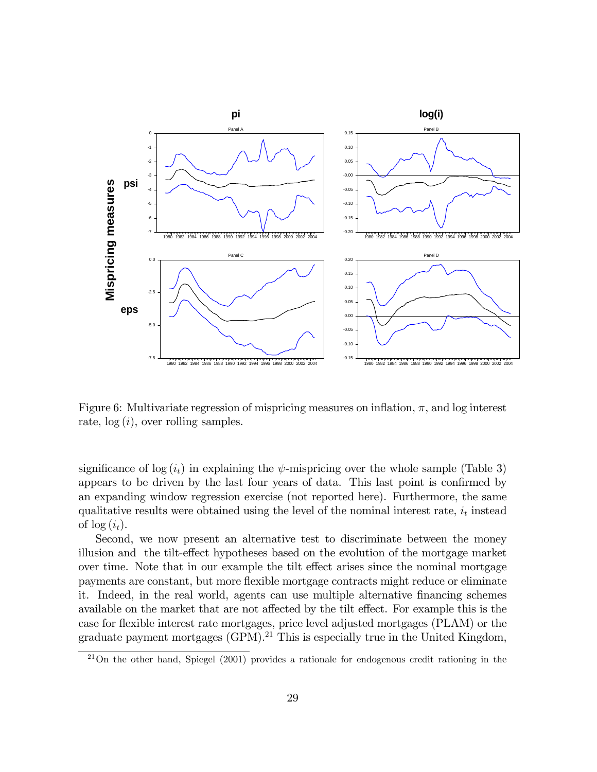

Figure 6: Multivariate regression of mispricing measures on inflation,  $\pi$ , and log interest rate,  $log(i)$ , over rolling samples.

significance of  $log(i_t)$  in explaining the  $\psi$ -mispricing over the whole sample (Table 3) appears to be driven by the last four years of data. This last point is confirmed by an expanding window regression exercise (not reported here). Furthermore, the same qualitative results were obtained using the level of the nominal interest rate,  $i_t$  instead of  $log(i_t)$ .

Second, we now present an alternative test to discriminate between the money illusion and the tilt-effect hypotheses based on the evolution of the mortgage market over time. Note that in our example the tilt effect arises since the nominal mortgage payments are constant, but more flexible mortgage contracts might reduce or eliminate it. Indeed, in the real world, agents can use multiple alternative financing schemes available on the market that are not affected by the tilt effect. For example this is the case for flexible interest rate mortgages, price level adjusted mortgages (PLAM) or the graduate payment mortgages  $(GPM)$ .<sup>21</sup> This is especially true in the United Kingdom,

 $^{21}$ On the other hand, Spiegel (2001) provides a rationale for endogenous credit rationing in the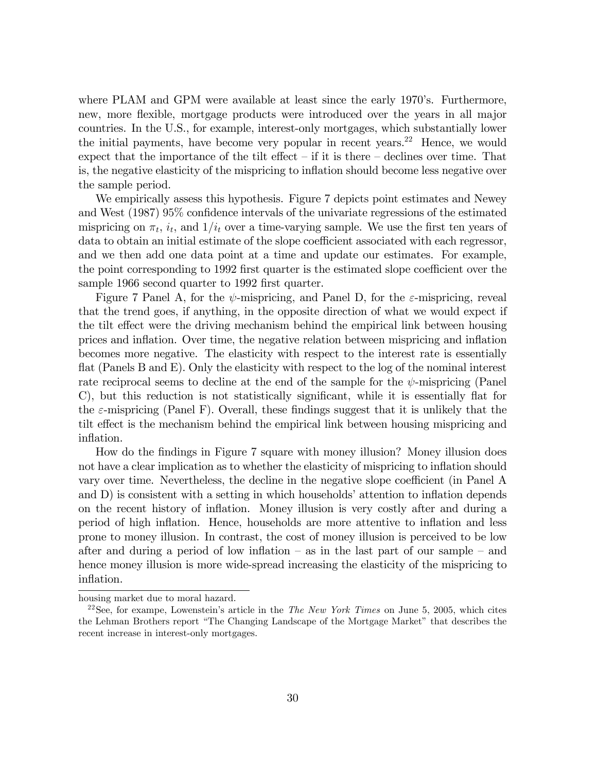where PLAM and GPM were available at least since the early 1970's. Furthermore, new, more áexible, mortgage products were introduced over the years in all major countries. In the U.S., for example, interest-only mortgages, which substantially lower the initial payments, have become very popular in recent years.<sup>22</sup> Hence, we would expect that the importance of the tilt effect  $-$  if it is there  $-$  declines over time. That is, the negative elasticity of the mispricing to inflation should become less negative over the sample period.

We empirically assess this hypothesis. Figure 7 depicts point estimates and Newey and West  $(1987)$  95% confidence intervals of the univariate regressions of the estimated mispricing on  $\pi_t$ ,  $i_t$ , and  $1/i_t$  over a time-varying sample. We use the first ten years of data to obtain an initial estimate of the slope coefficient associated with each regressor, and we then add one data point at a time and update our estimates. For example, the point corresponding to 1992 first quarter is the estimated slope coefficient over the sample 1966 second quarter to 1992 first quarter.

Figure 7 Panel A, for the  $\psi$ -mispricing, and Panel D, for the  $\varepsilon$ -mispricing, reveal that the trend goes, if anything, in the opposite direction of what we would expect if the tilt effect were the driving mechanism behind the empirical link between housing prices and ináation. Over time, the negative relation between mispricing and ináation becomes more negative. The elasticity with respect to the interest rate is essentially flat (Panels B and E). Only the elasticity with respect to the log of the nominal interest rate reciprocal seems to decline at the end of the sample for the  $\psi$ -mispricing (Panel C), but this reduction is not statistically significant, while it is essentially flat for the  $\varepsilon$ -mispricing (Panel F). Overall, these findings suggest that it is unlikely that the tilt effect is the mechanism behind the empirical link between housing mispricing and inflation.

How do the Öndings in Figure 7 square with money illusion? Money illusion does not have a clear implication as to whether the elasticity of mispricing to inflation should vary over time. Nevertheless, the decline in the negative slope coefficient (in Panel A and  $D$ ) is consistent with a setting in which households' attention to inflation depends on the recent history of inflation. Money illusion is very costly after and during a period of high inflation. Hence, households are more attentive to inflation and less prone to money illusion. In contrast, the cost of money illusion is perceived to be low after and during a period of low inflation  $-$  as in the last part of our sample  $-$  and hence money illusion is more wide-spread increasing the elasticity of the mispricing to inflation.

housing market due to moral hazard.

<sup>&</sup>lt;sup>22</sup>See, for exampe, Lowenstein's article in the The New York Times on June 5, 2005, which cites the Lehman Brothers report "The Changing Landscape of the Mortgage Market" that describes the recent increase in interest-only mortgages.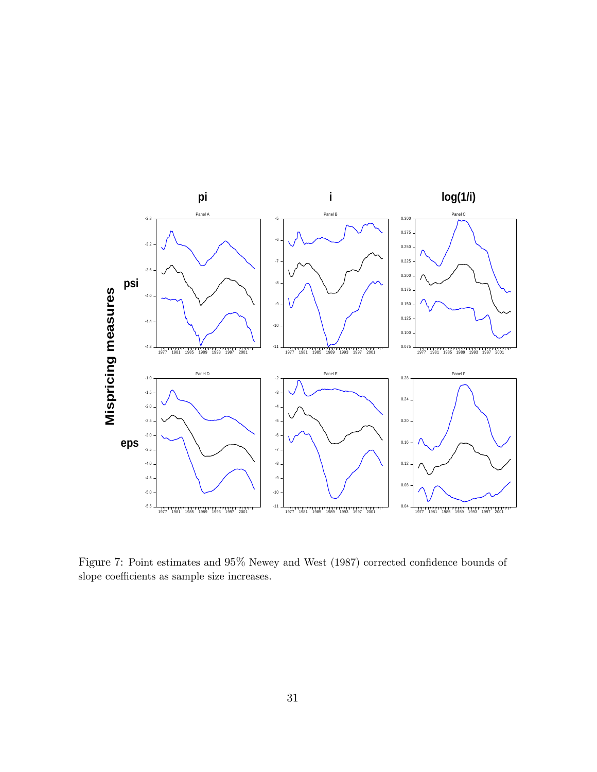

Figure 7: Point estimates and  $95\%$  Newey and West (1987) corrected confidence bounds of  $\,$  slope coefficients as sample size increases.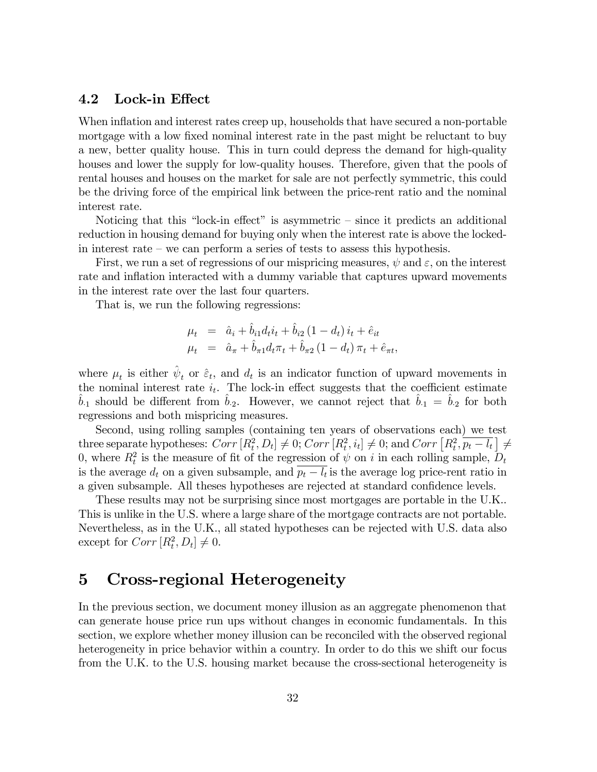#### 4.2 Lock-in Effect

When inflation and interest rates creep up, households that have secured a non-portable mortgage with a low fixed nominal interest rate in the past might be reluctant to buy a new, better quality house. This in turn could depress the demand for high-quality houses and lower the supply for low-quality houses. Therefore, given that the pools of rental houses and houses on the market for sale are not perfectly symmetric, this could be the driving force of the empirical link between the price-rent ratio and the nominal interest rate.

Noticing that this "lock-in effect" is asymmetric  $\overline{\phantom{a}}$  - since it predicts an additional reduction in housing demand for buying only when the interest rate is above the lockedin interest rate  $-$  we can perform a series of tests to assess this hypothesis.

First, we run a set of regressions of our mispricing measures,  $\psi$  and  $\varepsilon$ , on the interest rate and inflation interacted with a dummy variable that captures upward movements in the interest rate over the last four quarters.

That is, we run the following regressions:

$$
\mu_t = \hat{a}_i + \hat{b}_{i1} d_t i_t + \hat{b}_{i2} (1 - d_t) i_t + \hat{e}_{it} \n\mu_t = \hat{a}_{\pi} + \hat{b}_{\pi 1} d_t \pi_t + \hat{b}_{\pi 2} (1 - d_t) \pi_t + \hat{e}_{\pi t},
$$

where  $\mu_t$  is either  $\hat{\psi}_t$  or  $\hat{\varepsilon}_t$ , and  $d_t$  is an indicator function of upward movements in the nominal interest rate  $i_t$ . The lock-in effect suggests that the coefficient estimate  $\hat{b}_1$  should be different from  $\hat{b}_2$ . However, we cannot reject that  $\hat{b}_1 = \hat{b}_2$  for both regressions and both mispricing measures.

Second, using rolling samples (containing ten years of observations each) we test three separate hypotheses:  $Corr[R_t^2, D_t] \neq 0$ ;  $Corr[R_t^2, i_t] \neq 0$ ; and  $Corr[R_t^2, \overline{p_t - l_t}] \neq 0$ 0, where  $R_t^2$  is the measure of fit of the regression of  $\psi$  on i in each rolling sample,  $D_t$ is the average  $d_t$  on a given subsample, and  $p_t - l_t$  is the average log price-rent ratio in a given subsample. All theses hypotheses are rejected at standard confidence levels.

These results may not be surprising since most mortgages are portable in the U.K.. This is unlike in the U.S. where a large share of the mortgage contracts are not portable. Nevertheless, as in the U.K., all stated hypotheses can be rejected with U.S. data also except for  $Corr[R_t^2, D_t] \neq 0$ .

## 5 Cross-regional Heterogeneity

In the previous section, we document money illusion as an aggregate phenomenon that can generate house price run ups without changes in economic fundamentals. In this section, we explore whether money illusion can be reconciled with the observed regional heterogeneity in price behavior within a country. In order to do this we shift our focus from the U.K. to the U.S. housing market because the cross-sectional heterogeneity is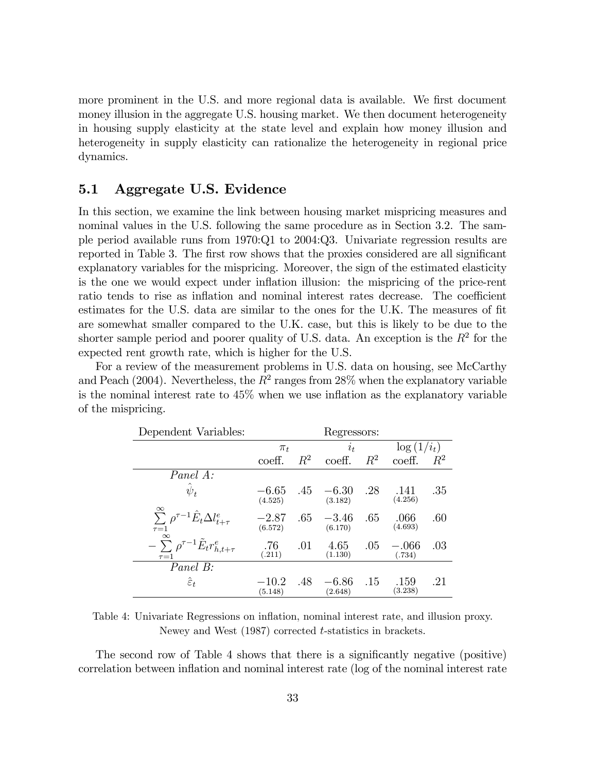more prominent in the U.S. and more regional data is available. We first document money illusion in the aggregate U.S. housing market. We then document heterogeneity in housing supply elasticity at the state level and explain how money illusion and heterogeneity in supply elasticity can rationalize the heterogeneity in regional price dynamics.

### 5.1 Aggregate U.S. Evidence

In this section, we examine the link between housing market mispricing measures and nominal values in the U.S. following the same procedure as in Section 3.2. The sample period available runs from 1970:Q1 to 2004:Q3. Univariate regression results are reported in Table 3. The first row shows that the proxies considered are all significant explanatory variables for the mispricing. Moreover, the sign of the estimated elasticity is the one we would expect under inflation illusion: the mispricing of the price-rent ratio tends to rise as inflation and nominal interest rates decrease. The coefficient estimates for the U.S. data are similar to the ones for the U.K. The measures of fit are somewhat smaller compared to the U.K. case, but this is likely to be due to the shorter sample period and poorer quality of U.S. data. An exception is the  $R^2$  for the expected rent growth rate, which is higher for the U.S.

For a review of the measurement problems in U.S. data on housing, see McCarthy and Peach (2004). Nevertheless, the  $R^2$  ranges from 28% when the explanatory variable is the nominal interest rate to  $45\%$  when we use inflation as the explanatory variable of the mispricing.

| Dependent Variables:                                                         | Regressors:        |       |                                |         |                   |       |
|------------------------------------------------------------------------------|--------------------|-------|--------------------------------|---------|-------------------|-------|
|                                                                              | $\pi_t$            |       | $i_t$                          |         | $\log{(1/i_t)}$   |       |
|                                                                              | coeff.             | $R^2$ | coeff.                         | $R^2$   | coeff.            | $R^2$ |
| Panel A:                                                                     |                    |       |                                |         |                   |       |
| $\hat{\psi}_t$                                                               | (4.525)            |       | $-6.65$ .45 $-6.30$<br>(3.182) | .28     | .141<br>(4.256)   | .35   |
| $\infty$<br>$\sum \rho^{\tau-1} \hat{E}_t \Delta l_{t+\tau}^e$<br>$\tau = 1$ | $-2.87$<br>(6.572) | .65   | $-3.46$<br>(6.170)             | .65     | .066<br>(4.693)   | .60   |
| $\infty$<br>$-\sum_{\tau=1}^{\infty}\rho^{\tau-1}\tilde{E}_tr^e_{h,t+\tau}$  | .76<br>(.211)      | .01   | 4.65<br>(1.130)                | $.05\,$ | $-.066$<br>(.734) | .03   |
| Panel B:                                                                     |                    |       |                                |         |                   |       |
| $\hat{\varepsilon}_t$                                                        | $-10.2$<br>(5.148) | .48   | $-6.86$<br>(2.648)             | .15     | .159<br>(3.238)   | .21   |

Table 4: Univariate Regressions on inflation, nominal interest rate, and illusion proxy. Newey and West (1987) corrected t-statistics in brackets.

The second row of Table 4 shows that there is a significantly negative (positive) correlation between ináation and nominal interest rate (log of the nominal interest rate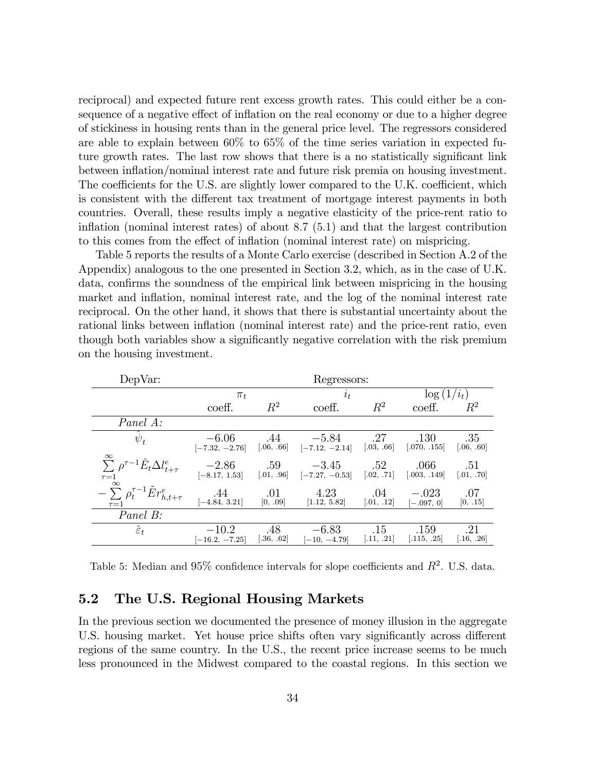reciprocal) and expected future rent excess growth rates. This could either be a consequence of a negative effect of inflation on the real economy or due to a higher degree of stickiness in housing rents than in the general price level. The regressors considered are able to explain between 60% to 65% of the time series variation in expected future growth rates. The last row shows that there is a no statistically significant link between inflation/nominal interest rate and future risk premia on housing investment. The coefficients for the U.S. are slightly lower compared to the U.K. coefficient, which is consistent with the different tax treatment of mortgage interest payments in both countries. Overall, these results imply a negative elasticity of the price-rent ratio to inflation (nominal interest rates) of about  $8.7$  (5.1) and that the largest contribution to this comes from the effect of inflation (nominal interest rate) on mispricing.

Table 5 reports the results of a Monte Carlo exercise (described in Section A.2 of the Appendix) analogous to the one presented in Section 3.2, which, as in the case of U.K. data, confirms the soundness of the empirical link between mispricing in the housing market and inflation, nominal interest rate, and the log of the nominal interest rate reciprocal. On the other hand, it shows that there is substantial uncertainty about the rational links between inflation (nominal interest rate) and the price-rent ratio, even though both variables show a significantly negative correlation with the risk premium on the housing investment.

| DepVar:                                                                            | Regressors:                 |                   |                             |                   |                         |                   |  |
|------------------------------------------------------------------------------------|-----------------------------|-------------------|-----------------------------|-------------------|-------------------------|-------------------|--|
|                                                                                    | $\pi_t$                     |                   | $i_t$                       |                   |                         | $\log{(1/i_t)}$   |  |
|                                                                                    | coeff.                      | $R^2$             | coeff.                      | $R^2$             | coeff.                  | $R^2$             |  |
| Panel A:                                                                           |                             |                   |                             |                   |                         |                   |  |
| $\hat{\psi}_t$                                                                     | $-6.06$<br>$[-7.32, -2.76]$ | .44<br>[.06, .66] | $-5.84$<br>$[-7.12, -2.14]$ | .27<br>[.03, .66] | .130<br>[.070, .155]    | .35<br>[.06, .60] |  |
| $\sum^{\infty} \rho^{\tau-1} \hat{E}_t \Delta l_{t+\tau}^e$<br>$\overline{\tau=1}$ | $-2.86$<br>$[-8.17, 1.53]$  | .59<br>[.01, .96] | $-3.45$<br>$[-7.27, -0.53]$ | .52<br>[.02, .71] | .066<br>[.003, .149]    | .51<br>[.01, .70] |  |
| $- \stackrel{\infty}{\sum} \rho_t^{\tau-1} \tilde{E} r_{h,t+\tau}^e$<br>$\tau = 1$ | .44<br>$[-4.84, 3.21]$      | .01<br>[0, .09]   | 4.23<br>[1.12, 5.82]        | .04<br>[.01, .12] | $-.023$<br>$[-.097, 0]$ | .07<br>[0, .15]   |  |
| Panel B:                                                                           |                             |                   |                             |                   |                         |                   |  |
| $\hat{\varepsilon}_t$                                                              | $-10.2$<br>$[-16.2, -7.25]$ | .48<br>[.36, .62] | $-6.83$<br>$[-10, -4.79]$   | .15<br>[.11, .21] | .159<br>[.115, .25]     | .21<br>[.16, .26] |  |

Table 5: Median and  $95\%$  confidence intervals for slope coefficients and  $R^2$ . U.S. data.

### 5.2 The U.S. Regional Housing Markets

In the previous section we documented the presence of money illusion in the aggregate U.S. housing market. Yet house price shifts often vary significantly across different regions of the same country. In the U.S., the recent price increase seems to be much less pronounced in the Midwest compared to the coastal regions. In this section we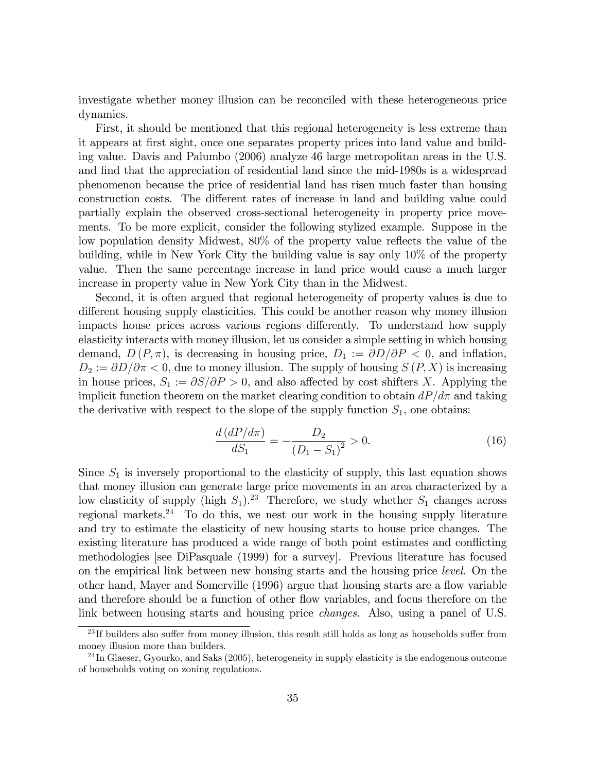investigate whether money illusion can be reconciled with these heterogeneous price dynamics.

First, it should be mentioned that this regional heterogeneity is less extreme than it appears at first sight, once one separates property prices into land value and building value. Davis and Palumbo (2006) analyze 46 large metropolitan areas in the U.S. and find that the appreciation of residential land since the mid-1980s is a widespread phenomenon because the price of residential land has risen much faster than housing construction costs. The different rates of increase in land and building value could partially explain the observed cross-sectional heterogeneity in property price movements. To be more explicit, consider the following stylized example. Suppose in the low population density Midwest,  $80\%$  of the property value reflects the value of the building, while in New York City the building value is say only 10% of the property value. Then the same percentage increase in land price would cause a much larger increase in property value in New York City than in the Midwest.

Second, it is often argued that regional heterogeneity of property values is due to different housing supply elasticities. This could be another reason why money illusion impacts house prices across various regions differently. To understand how supply elasticity interacts with money illusion, let us consider a simple setting in which housing demand,  $D(P,\pi)$ , is decreasing in housing price,  $D_1 := \partial D/\partial P < 0$ , and inflation,  $D_2 := \partial D/\partial \pi < 0$ , due to money illusion. The supply of housing  $S(P, X)$  is increasing in house prices,  $S_1 := \partial S/\partial P > 0$ , and also affected by cost shifters X. Applying the implicit function theorem on the market clearing condition to obtain  $dP/d\pi$  and taking the derivative with respect to the slope of the supply function  $S_1$ , one obtains:

$$
\frac{d\left(dP/d\pi\right)}{dS_1} = -\frac{D_2}{\left(D_1 - S_1\right)^2} > 0. \tag{16}
$$

Since  $S_1$  is inversely proportional to the elasticity of supply, this last equation shows that money illusion can generate large price movements in an area characterized by a low elasticity of supply (high  $S_1$ ).<sup>23</sup> Therefore, we study whether  $S_1$  changes across regional markets.<sup>24</sup> To do this, we nest our work in the housing supply literature and try to estimate the elasticity of new housing starts to house price changes. The existing literature has produced a wide range of both point estimates and conflicting methodologies [see DiPasquale (1999) for a survey]. Previous literature has focused on the empirical link between new housing starts and the housing price level. On the other hand, Mayer and Somerville (1996) argue that housing starts are a áow variable and therefore should be a function of other flow variables, and focus therefore on the link between housing starts and housing price changes. Also, using a panel of U.S.

 $^{23}$ If builders also suffer from money illusion, this result still holds as long as households suffer from money illusion more than builders.

 $^{24}$ In Glaeser, Gyourko, and Saks (2005), heterogeneity in supply elasticity is the endogenous outcome of households voting on zoning regulations.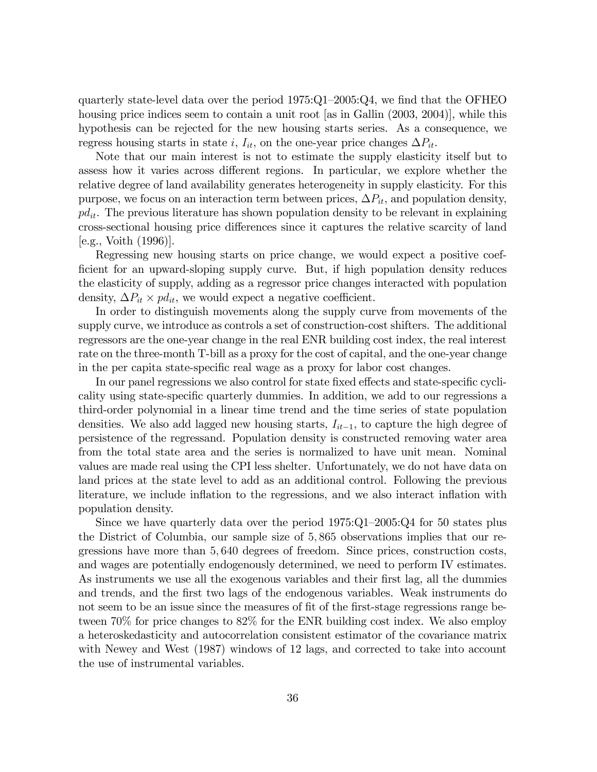quarterly state-level data over the period  $1975:Q1-2005:Q4$ , we find that the OFHEO housing price indices seem to contain a unit root [as in Gallin (2003, 2004)], while this hypothesis can be rejected for the new housing starts series. As a consequence, we regress housing starts in state i,  $I_{it}$ , on the one-year price changes  $\Delta P_{it}$ .

Note that our main interest is not to estimate the supply elasticity itself but to assess how it varies across different regions. In particular, we explore whether the relative degree of land availability generates heterogeneity in supply elasticity. For this purpose, we focus on an interaction term between prices,  $\Delta P_{it}$ , and population density,  $p_{di}$ . The previous literature has shown population density to be relevant in explaining cross-sectional housing price differences since it captures the relative scarcity of land  $[e.g., Vointh (1996)].$ 

Regressing new housing starts on price change, we would expect a positive coefficient for an upward-sloping supply curve. But, if high population density reduces the elasticity of supply, adding as a regressor price changes interacted with population density,  $\Delta P_{it} \times pd_{it}$ , we would expect a negative coefficient.

In order to distinguish movements along the supply curve from movements of the supply curve, we introduce as controls a set of construction-cost shifters. The additional regressors are the one-year change in the real ENR building cost index, the real interest rate on the three-month T-bill as a proxy for the cost of capital, and the one-year change in the per capita state-specific real wage as a proxy for labor cost changes.

In our panel regressions we also control for state fixed effects and state-specific cyclicality using state-specific quarterly dummies. In addition, we add to our regressions a third-order polynomial in a linear time trend and the time series of state population densities. We also add lagged new housing starts,  $I_{it-1}$ , to capture the high degree of persistence of the regressand. Population density is constructed removing water area from the total state area and the series is normalized to have unit mean. Nominal values are made real using the CPI less shelter. Unfortunately, we do not have data on land prices at the state level to add as an additional control. Following the previous literature, we include inflation to the regressions, and we also interact inflation with population density.

Since we have quarterly data over the period  $1975:Q1-2005:Q4$  for 50 states plus the District of Columbia, our sample size of 5; 865 observations implies that our regressions have more than 5; 640 degrees of freedom. Since prices, construction costs, and wages are potentially endogenously determined, we need to perform IV estimates. As instruments we use all the exogenous variables and their first lag, all the dummies and trends, and the Örst two lags of the endogenous variables. Weak instruments do not seem to be an issue since the measures of fit of the first-stage regressions range between 70% for price changes to 82% for the ENR building cost index. We also employ a heteroskedasticity and autocorrelation consistent estimator of the covariance matrix with Newey and West (1987) windows of 12 lags, and corrected to take into account the use of instrumental variables.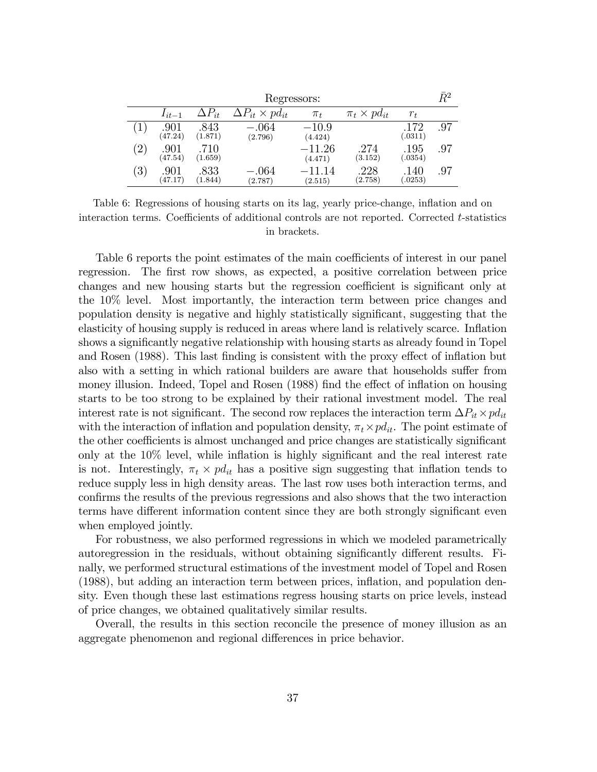| Regressors:            |                 |                 |                                |                     |                        |                 | $\bar{R}^2$ |
|------------------------|-----------------|-----------------|--------------------------------|---------------------|------------------------|-----------------|-------------|
|                        | $I_{it-1}$      | $\Delta P_{it}$ | $\Delta P_{it} \times pd_{it}$ | $\pi_t$             | $\pi_t \times pd_{it}$ | $r_{t}$         |             |
| $\left(1\right)$       | .901<br>(47.24) | .843<br>(1.871) | $-.064$<br>(2.796)             | $-10.9$<br>(4.424)  |                        | .172<br>(.0311) | .97         |
| $\left 2\right\rangle$ | .901<br>(47.54) | .710<br>(1.659) |                                | $-11.26$<br>(4.471) | .274<br>(3.152)        | .195<br>(.0354) | .97         |
| $\left( 3\right)$      | 901<br>(47.17)  | .833<br>(1.844) | $-.064$<br>(2.787)             | $-11.14$<br>(2.515) | .228<br>(2.758)        | .140<br>(.0253) | .97         |

Table 6: Regressions of housing starts on its lag, yearly price-change, inflation and on interaction terms. Coefficients of additional controls are not reported. Corrected t-statistics in brackets.

Table 6 reports the point estimates of the main coefficients of interest in our panel regression. The first row shows, as expected, a positive correlation between price changes and new housing starts but the regression coefficient is significant only at the 10% level. Most importantly, the interaction term between price changes and population density is negative and highly statistically significant, suggesting that the elasticity of housing supply is reduced in areas where land is relatively scarce. Inflation shows a significantly negative relationship with housing starts as already found in Topel and Rosen (1988). This last finding is consistent with the proxy effect of inflation but also with a setting in which rational builders are aware that households suffer from money illusion. Indeed, Topel and Rosen (1988) find the effect of inflation on housing starts to be too strong to be explained by their rational investment model. The real interest rate is not significant. The second row replaces the interaction term  $\Delta P_{it} \times pd_{it}$ with the interaction of inflation and population density,  $\pi_t \times pd_{it}$ . The point estimate of the other coefficients is almost unchanged and price changes are statistically significant only at the  $10\%$  level, while inflation is highly significant and the real interest rate is not. Interestingly,  $\pi_t \times pd_{it}$  has a positive sign suggesting that inflation tends to reduce supply less in high density areas. The last row uses both interaction terms, and confirms the results of the previous regressions and also shows that the two interaction terms have different information content since they are both strongly significant even when employed jointly.

For robustness, we also performed regressions in which we modeled parametrically autoregression in the residuals, without obtaining significantly different results. Finally, we performed structural estimations of the investment model of Topel and Rosen (1988), but adding an interaction term between prices, ináation, and population density. Even though these last estimations regress housing starts on price levels, instead of price changes, we obtained qualitatively similar results.

Overall, the results in this section reconcile the presence of money illusion as an aggregate phenomenon and regional differences in price behavior.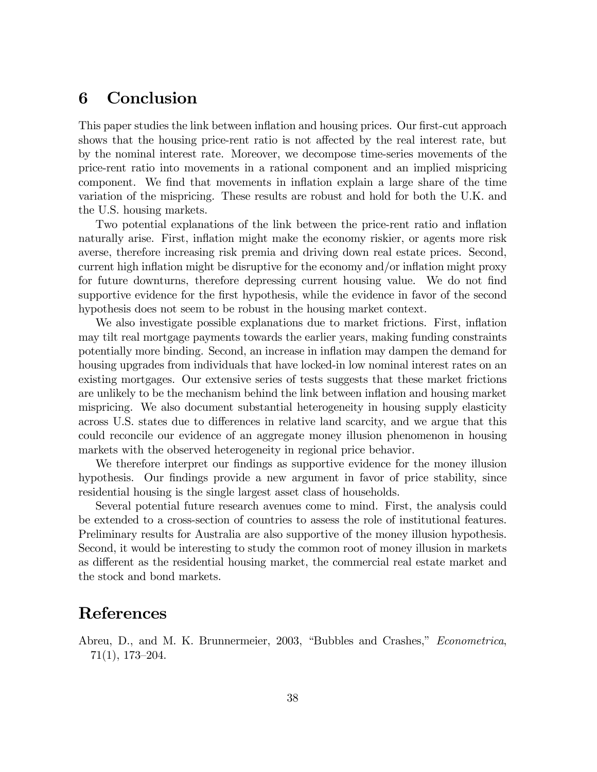## 6 Conclusion

This paper studies the link between inflation and housing prices. Our first-cut approach shows that the housing price-rent ratio is not affected by the real interest rate, but by the nominal interest rate. Moreover, we decompose time-series movements of the price-rent ratio into movements in a rational component and an implied mispricing component. We find that movements in inflation explain a large share of the time variation of the mispricing. These results are robust and hold for both the U.K. and the U.S. housing markets.

Two potential explanations of the link between the price-rent ratio and inflation naturally arise. First, inflation might make the economy riskier, or agents more risk averse, therefore increasing risk premia and driving down real estate prices. Second, current high inflation might be disruptive for the economy and/or inflation might proxy for future downturns, therefore depressing current housing value. We do not find supportive evidence for the first hypothesis, while the evidence in favor of the second hypothesis does not seem to be robust in the housing market context.

We also investigate possible explanations due to market frictions. First, inflation may tilt real mortgage payments towards the earlier years, making funding constraints potentially more binding. Second, an increase in ináation may dampen the demand for housing upgrades from individuals that have locked-in low nominal interest rates on an existing mortgages. Our extensive series of tests suggests that these market frictions are unlikely to be the mechanism behind the link between inflation and housing market mispricing. We also document substantial heterogeneity in housing supply elasticity across U.S. states due to differences in relative land scarcity, and we argue that this could reconcile our evidence of an aggregate money illusion phenomenon in housing markets with the observed heterogeneity in regional price behavior.

We therefore interpret our findings as supportive evidence for the money illusion hypothesis. Our findings provide a new argument in favor of price stability, since residential housing is the single largest asset class of households.

Several potential future research avenues come to mind. First, the analysis could be extended to a cross-section of countries to assess the role of institutional features. Preliminary results for Australia are also supportive of the money illusion hypothesis. Second, it would be interesting to study the common root of money illusion in markets as different as the residential housing market, the commercial real estate market and the stock and bond markets.

### References

Abreu, D., and M. K. Brunnermeier, 2003, "Bubbles and Crashes," *Econometrica*,  $71(1), 173-204.$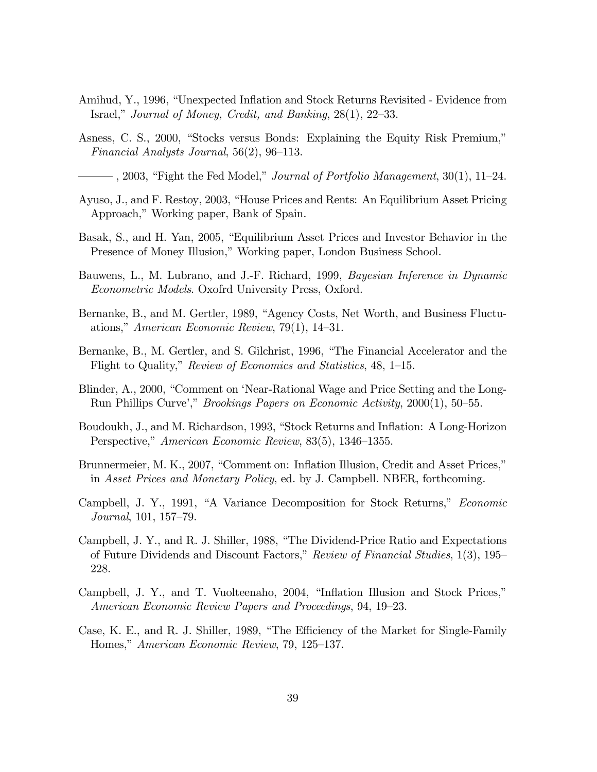- Amihud, Y., 1996, "Unexpected Inflation and Stock Returns Revisited Evidence from Israel," Journal of Money, Credit, and Banking,  $28(1)$ ,  $22-33$ .
- Asness, C. S., 2000, "Stocks versus Bonds: Explaining the Equity Risk Premium," Financial Analysts Journal,  $56(2)$ ,  $96-113$ .
- $\longrightarrow$ , 2003, "Fight the Fed Model," *Journal of Portfolio Management*, 30(1), 11–24.
- Ayuso, J., and F. Restoy, 2003, "House Prices and Rents: An Equilibrium Asset Pricing Approach," Working paper, Bank of Spain.
- Basak, S., and H. Yan, 2005, "Equilibrium Asset Prices and Investor Behavior in the Presence of Money Illusion," Working paper, London Business School.
- Bauwens, L., M. Lubrano, and J.-F. Richard, 1999, Bayesian Inference in Dynamic Econometric Models. Oxofrd University Press, Oxford.
- Bernanke, B., and M. Gertler, 1989, "Agency Costs, Net Worth, and Business Fluctuations," American Economic Review, 79(1), 14–31.
- Bernanke, B., M. Gertler, and S. Gilchrist, 1996, "The Financial Accelerator and the Flight to Quality," Review of Economics and Statistics,  $48$ , 1–15.
- Blinder, A., 2000, "Comment on 'Near-Rational Wage and Price Setting and the Long-Run Phillips Curve'," Brookings Papers on Economic Activity,  $2000(1)$ , 50–55.
- Boudoukh, J., and M. Richardson, 1993, "Stock Returns and Inflation: A Long-Horizon Perspective," American Economic Review, 83(5), 1346–1355.
- Brunnermeier, M. K., 2007, "Comment on: Inflation Illusion, Credit and Asset Prices," in Asset Prices and Monetary Policy, ed. by J. Campbell. NBER, forthcoming.
- Campbell, J. Y., 1991, "A Variance Decomposition for Stock Returns," Economic  $Journal, 101, 157–79.$
- Campbell, J. Y., and R. J. Shiller, 1988, "The Dividend-Price Ratio and Expectations of Future Dividends and Discount Factors," Review of Financial Studies, 1(3), 195 228.
- Campbell, J. Y., and T. Vuolteenaho, 2004, "Inflation Illusion and Stock Prices," American Economic Review Papers and Proceedings, 94, 19–23.
- Case, K. E., and R. J. Shiller, 1989, "The Efficiency of the Market for Single-Family Homes," American Economic Review, 79, 125–137.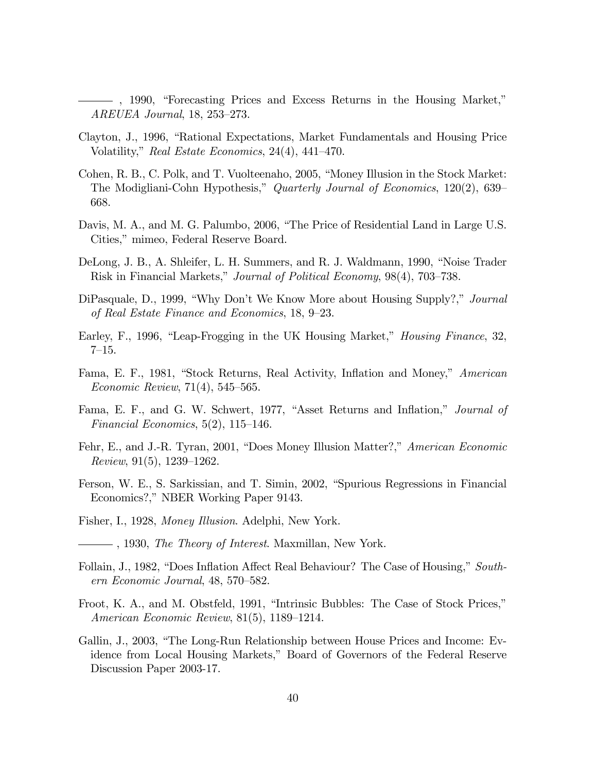-, 1990, "Forecasting Prices and Excess Returns in the Housing Market,"  $AREUEA$  Journal, 18, 253-273.

- Clayton, J., 1996, "Rational Expectations, Market Fundamentals and Housing Price Volatility," Real Estate Economics, 24(4), 441–470.
- Cohen, R. B., C. Polk, and T. Vuolteenaho, 2005, "Money Illusion in the Stock Market: The Modigliani-Cohn Hypothesis," Quarterly Journal of Economics, 120(2), 639 668.
- Davis, M. A., and M. G. Palumbo, 2006, "The Price of Residential Land in Large U.S. Cities," mimeo, Federal Reserve Board.
- DeLong, J. B., A. Shleifer, L. H. Summers, and R. J. Waldmann, 1990, "Noise Trader Risk in Financial Markets," Journal of Political Economy, 98(4), 703–738.
- DiPasquale, D., 1999, "Why Don't We Know More about Housing Supply?," Journal of Real Estate Finance and Economics,  $18, 9-23$ .
- Earley, F., 1996, "Leap-Frogging in the UK Housing Market," *Housing Finance*, 32,  $7-15.$
- Fama, E. F., 1981, "Stock Returns, Real Activity, Inflation and Money," American Economic Review,  $71(4)$ , 545–565.
- Fama, E. F., and G. W. Schwert, 1977, "Asset Returns and Inflation," Journal of Financial Economics,  $5(2)$ , 115–146.
- Fehr, E., and J.-R. Tyran, 2001, "Does Money Illusion Matter?," American Economic Review,  $91(5)$ ,  $1239-1262$ .
- Ferson, W. E., S. Sarkissian, and T. Simin, 2002, "Spurious Regressions in Financial Economics?," NBER Working Paper 9143.
- Fisher, I., 1928, Money Illusion. Adelphi, New York.
- $\longrightarrow$ , 1930, *The Theory of Interest*. Maxmillan, New York.
- Follain, J., 1982, "Does Inflation Affect Real Behaviour? The Case of Housing," Southern Economic Journal, 48, 570-582.
- Froot, K. A., and M. Obstfeld, 1991, "Intrinsic Bubbles: The Case of Stock Prices," American Economic Review,  $81(5)$ , 1189–1214.
- Gallin, J., 2003, "The Long-Run Relationship between House Prices and Income: Evidence from Local Housing Markets," Board of Governors of the Federal Reserve Discussion Paper 2003-17.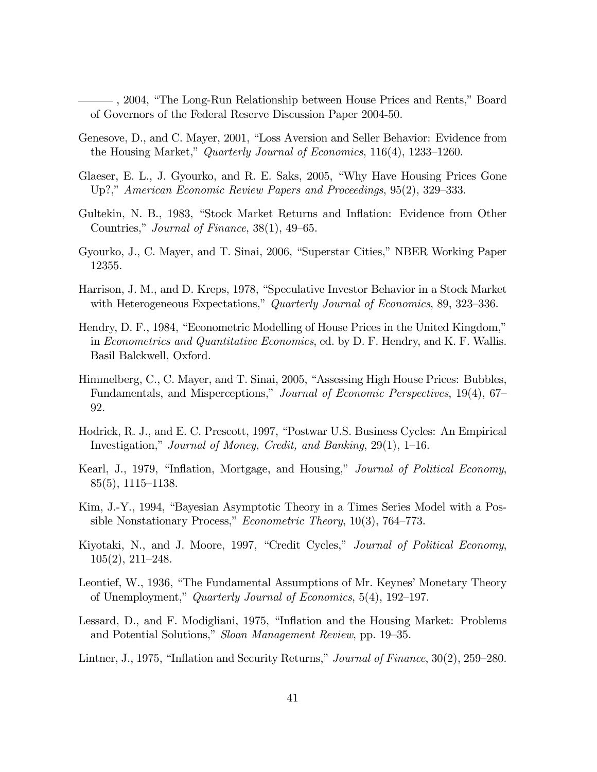-, 2004, "The Long-Run Relationship between House Prices and Rents," Board of Governors of the Federal Reserve Discussion Paper 2004-50.

- Genesove, D., and C. Mayer, 2001, "Loss Aversion and Seller Behavior: Evidence from the Housing Market," Quarterly Journal of Economics,  $116(4)$ , 1233-1260.
- Glaeser, E. L., J. Gyourko, and R. E. Saks, 2005, "Why Have Housing Prices Gone Up?," American Economic Review Papers and Proceedings, 95(2), 329–333.
- Gultekin, N. B., 1983, "Stock Market Returns and Inflation: Evidence from Other Countries," Journal of Finance,  $38(1)$ ,  $49-65$ .
- Gyourko, J., C. Mayer, and T. Sinai, 2006, "Superstar Cities," NBER Working Paper 12355.
- Harrison, J. M., and D. Kreps, 1978, "Speculative Investor Behavior in a Stock Market with Heterogeneous Expectations," Quarterly Journal of Economics, 89, 323–336.
- Hendry, D. F., 1984, "Econometric Modelling of House Prices in the United Kingdom," in Econometrics and Quantitative Economics, ed. by D. F. Hendry, and K. F. Wallis. Basil Balckwell, Oxford.
- Himmelberg, C., C. Mayer, and T. Sinai, 2005, "Assessing High House Prices: Bubbles, Fundamentals, and Misperceptions," Journal of Economic Perspectives, 19(4), 67 92.
- Hodrick, R. J., and E. C. Prescott, 1997, "Postwar U.S. Business Cycles: An Empirical Investigation," Journal of Money, Credit, and Banking,  $29(1)$ , 1–16.
- Kearl, J., 1979, "Inflation, Mortgage, and Housing," Journal of Political Economy,  $85(5)$ , 1115–1138.
- Kim, J.-Y., 1994, "Bayesian Asymptotic Theory in a Times Series Model with a Possible Nonstationary Process," *Econometric Theory*,  $10(3)$ , 764–773.
- Kiyotaki, N., and J. Moore, 1997, "Credit Cycles," Journal of Political Economy,  $105(2), 211-248.$
- Leontief, W., 1936, "The Fundamental Assumptions of Mr. Keynes' Monetary Theory of Unemployment," Quarterly Journal of Economics,  $5(4)$ , 192–197.
- Lessard, D., and F. Modigliani, 1975, "Inflation and the Housing Market: Problems and Potential Solutions," Sloan Management Review, pp. 19–35.
- Lintner, J., 1975, "Inflation and Security Returns," *Journal of Finance*,  $30(2)$ ,  $259-280$ .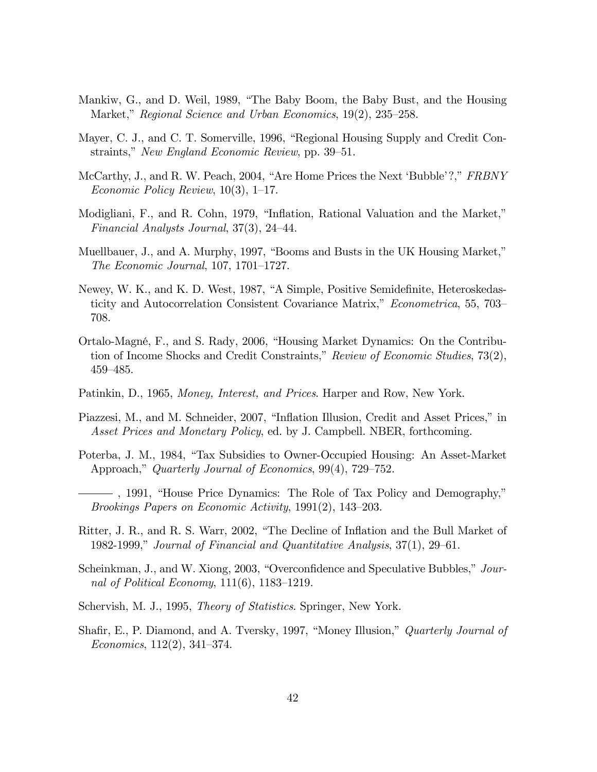- Mankiw, G., and D. Weil, 1989, "The Baby Boom, the Baby Bust, and the Housing Market," Regional Science and Urban Economics, 19(2), 235–258.
- Mayer, C. J., and C. T. Somerville, 1996, "Regional Housing Supply and Credit Constraints," New England Economic Review, pp. 39–51.
- McCarthy, J., and R. W. Peach, 2004, "Are Home Prices the Next 'Bubble'?," FRBNY Economic Policy Review,  $10(3)$ , 1–17.
- Modigliani, F., and R. Cohn, 1979, "Inflation, Rational Valuation and the Market," Financial Analysts Journal,  $37(3)$ ,  $24-44$ .
- Muellbauer, J., and A. Murphy, 1997, "Booms and Busts in the UK Housing Market," The Economic Journal,  $107$ ,  $1701-1727$ .
- Newey, W. K., and K. D. West, 1987, "A Simple, Positive Semidefinite, Heteroskedasticity and Autocorrelation Consistent Covariance Matrix," *Econometrica*, 55, 703– 708.
- Ortalo-Magné, F., and S. Rady, 2006, "Housing Market Dynamics: On the Contribution of Income Shocks and Credit Constraints," Review of Economic Studies,  $73(2)$ ,  $459 - 485.$
- Patinkin, D., 1965, *Money, Interest, and Prices*. Harper and Row, New York.
- Piazzesi, M., and M. Schneider, 2007, "Inflation Illusion, Credit and Asset Prices," in Asset Prices and Monetary Policy, ed. by J. Campbell. NBER, forthcoming.
- Poterba, J. M., 1984, "Tax Subsidies to Owner-Occupied Housing: An Asset-Market Approach," Quarterly Journal of Economics,  $99(4)$ , 729–752.
- $-$ , 1991, "House Price Dynamics: The Role of Tax Policy and Demography," Brookings Papers on Economic Activity,  $1991(2)$ ,  $143-203$ .
- Ritter, J. R., and R. S. Warr, 2002, "The Decline of Inflation and the Bull Market of 1982-1999," Journal of Financial and Quantitative Analysis,  $37(1)$ ,  $29-61$ .
- Scheinkman, J., and W. Xiong, 2003, "Overconfidence and Speculative Bubbles," Journal of Political Economy,  $111(6)$ ,  $1183-1219$ .
- Schervish, M. J., 1995, Theory of Statistics. Springer, New York.
- Shafir, E., P. Diamond, and A. Tversky, 1997, "Money Illusion," Quarterly Journal of Economics,  $112(2)$ ,  $341-374$ .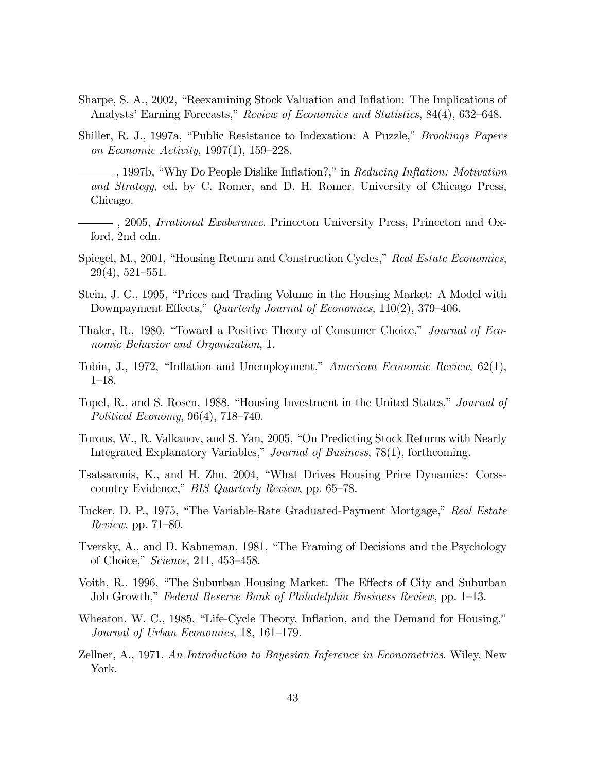- Sharpe, S. A., 2002, "Reexamining Stock Valuation and Inflation: The Implications of Analysts' Earning Forecasts," Review of Economics and Statistics, 84(4), 632–648.
- Shiller, R. J., 1997a, "Public Resistance to Indexation: A Puzzle," *Brookings Papers* on Economic Activity,  $1997(1)$ ,  $159-228$ .
- $-$ , 1997b, "Why Do People Dislike Inflation?," in Reducing Inflation: Motivation and Strategy, ed. by C. Romer, and D. H. Romer. University of Chicago Press, Chicago.
- , 2005, Irrational Exuberance. Princeton University Press, Princeton and Oxford, 2nd edn.
- Spiegel, M., 2001, "Housing Return and Construction Cycles," Real Estate Economics,  $29(4)$ , 521–551.
- Stein, J. C., 1995, "Prices and Trading Volume in the Housing Market: A Model with Downpayment Effects," Quarterly Journal of Economics, 110(2), 379–406.
- Thaler, R., 1980, "Toward a Positive Theory of Consumer Choice," Journal of Economic Behavior and Organization, 1.
- Tobin, J., 1972, "Inflation and Unemployment," American Economic Review, 62(1),  $1 - 18$ .
- Topel, R., and S. Rosen, 1988, "Housing Investment in the United States," Journal of Political Economy,  $96(4)$ ,  $718–740$ .
- Torous, W., R. Valkanov, and S. Yan, 2005, "On Predicting Stock Returns with Nearly Integrated Explanatory Variables," Journal of Business, 78(1), forthcoming.
- Tsatsaronis, K., and H. Zhu, 2004, "What Drives Housing Price Dynamics: Corsscountry Evidence," *BIS Quarterly Review*, pp. 65–78.
- Tucker, D. P., 1975, "The Variable-Rate Graduated-Payment Mortgage," Real Estate Review, pp. 71–80.
- Tversky, A., and D. Kahneman, 1981, "The Framing of Decisions and the Psychology of Choice," Science, 211, 453-458.
- Voith, R., 1996, "The Suburban Housing Market: The Effects of City and Suburban Job Growth," Federal Reserve Bank of Philadelphia Business Review, pp. 1–13.
- Wheaton, W. C., 1985, "Life-Cycle Theory, Inflation, and the Demand for Housing," Journal of Urban Economics,  $18, 161-179$ .
- Zellner, A., 1971, An Introduction to Bayesian Inference in Econometrics. Wiley, New York.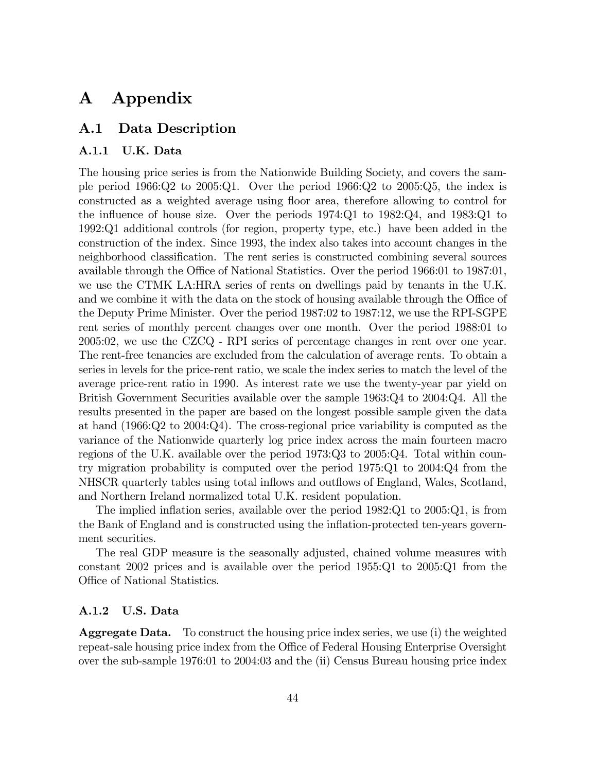## A Appendix

### A.1 Data Description

#### A.1.1 U.K. Data

The housing price series is from the Nationwide Building Society, and covers the sample period  $1966:Q2$  to  $2005:Q1$ . Over the period  $1966:Q2$  to  $2005:Q5$ , the index is constructed as a weighted average using áoor area, therefore allowing to control for the influence of house size. Over the periods  $1974:Q1$  to  $1982:Q4$ , and  $1983:Q1$  to 1992:Q1 additional controls (for region, property type, etc.) have been added in the construction of the index. Since 1993, the index also takes into account changes in the neighborhood classification. The rent series is constructed combining several sources available through the Office of National Statistics. Over the period 1966:01 to 1987:01, we use the CTMK LA:HRA series of rents on dwellings paid by tenants in the U.K. and we combine it with the data on the stock of housing available through the Office of the Deputy Prime Minister. Over the period 1987:02 to 1987:12, we use the RPI-SGPE rent series of monthly percent changes over one month. Over the period 1988:01 to 2005:02, we use the CZCQ - RPI series of percentage changes in rent over one year. The rent-free tenancies are excluded from the calculation of average rents. To obtain a series in levels for the price-rent ratio, we scale the index series to match the level of the average price-rent ratio in 1990. As interest rate we use the twenty-year par yield on British Government Securities available over the sample 1963:Q4 to 2004:Q4. All the results presented in the paper are based on the longest possible sample given the data at hand (1966:Q2 to 2004:Q4). The cross-regional price variability is computed as the variance of the Nationwide quarterly log price index across the main fourteen macro regions of the U.K. available over the period 1973:Q3 to 2005:Q4. Total within country migration probability is computed over the period 1975:Q1 to 2004:Q4 from the NHSCR quarterly tables using total inflows and outflows of England, Wales, Scotland, and Northern Ireland normalized total U.K. resident population.

The implied inflation series, available over the period  $1982:Q1$  to  $2005:Q1$ , is from the Bank of England and is constructed using the inflation-protected ten-years government securities.

The real GDP measure is the seasonally adjusted, chained volume measures with constant 2002 prices and is available over the period 1955:Q1 to 2005:Q1 from the Office of National Statistics.

#### A.1.2 U.S. Data

Aggregate Data. To construct the housing price index series, we use (i) the weighted repeat-sale housing price index from the Office of Federal Housing Enterprise Oversight over the sub-sample 1976:01 to 2004:03 and the (ii) Census Bureau housing price index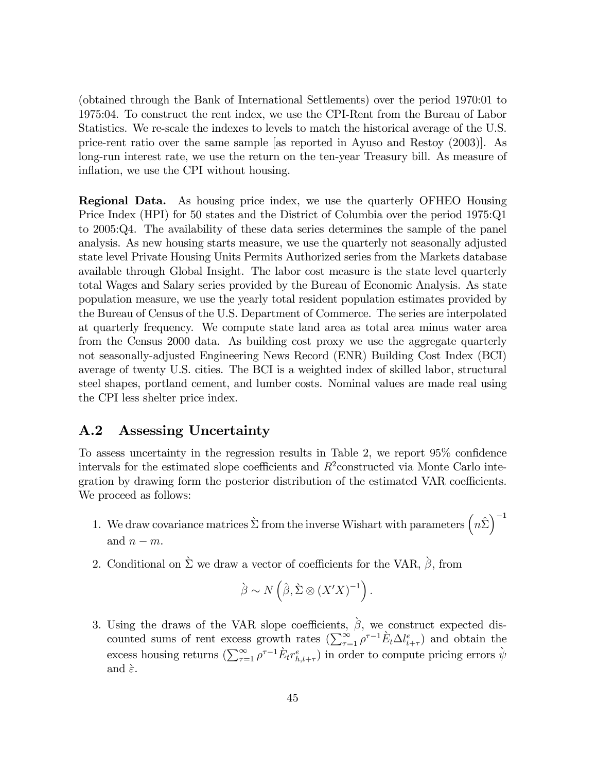(obtained through the Bank of International Settlements) over the period 1970:01 to 1975:04. To construct the rent index, we use the CPI-Rent from the Bureau of Labor Statistics. We re-scale the indexes to levels to match the historical average of the U.S. price-rent ratio over the same sample [as reported in Ayuso and Restoy (2003)]. As long-run interest rate, we use the return on the ten-year Treasury bill. As measure of inflation, we use the CPI without housing.

Regional Data. As housing price index, we use the quarterly OFHEO Housing Price Index (HPI) for 50 states and the District of Columbia over the period 1975:Q1 to 2005:Q4. The availability of these data series determines the sample of the panel analysis. As new housing starts measure, we use the quarterly not seasonally adjusted state level Private Housing Units Permits Authorized series from the Markets database available through Global Insight. The labor cost measure is the state level quarterly total Wages and Salary series provided by the Bureau of Economic Analysis. As state population measure, we use the yearly total resident population estimates provided by the Bureau of Census of the U.S. Department of Commerce. The series are interpolated at quarterly frequency. We compute state land area as total area minus water area from the Census 2000 data. As building cost proxy we use the aggregate quarterly not seasonally-adjusted Engineering News Record (ENR) Building Cost Index (BCI) average of twenty U.S. cities. The BCI is a weighted index of skilled labor, structural steel shapes, portland cement, and lumber costs. Nominal values are made real using the CPI less shelter price index.

### A.2 Assessing Uncertainty

To assess uncertainty in the regression results in Table 2, we report  $95\%$  confidence intervals for the estimated slope coefficients and  $R^2$ constructed via Monte Carlo integration by drawing form the posterior distribution of the estimated VAR coefficients. We proceed as follows:

- 1. We draw covariance matrices  $\hat{\Sigma}$  from the inverse Wishart with parameters  $\left(n\hat{\Sigma}\right)^{-1}$ and  $n - m$ .
- 2. Conditional on  $\dot{\Sigma}$  we draw a vector of coefficients for the VAR,  $\dot{\beta}$ , from

$$
\hat{\beta} \sim N\left(\hat{\beta}, \hat{\Sigma} \otimes (X'X)^{-1}\right).
$$

3. Using the draws of the VAR slope coefficients,  $\hat{\beta}$ , we construct expected discounted sums of rent excess growth rates  $(\sum_{\tau=1}^{\infty} \rho^{\tau-1} \tilde{E}_t \Delta l_{t+\tau}^e)$  and obtain the excess housing returns  $(\sum_{\tau=1}^{\infty} \rho^{\tau-1} \hat{E}_{t} r_{h,t+\tau}^{e})$  in order to compute pricing errors  $\hat{\psi}$ and  $\grave{\varepsilon}$ .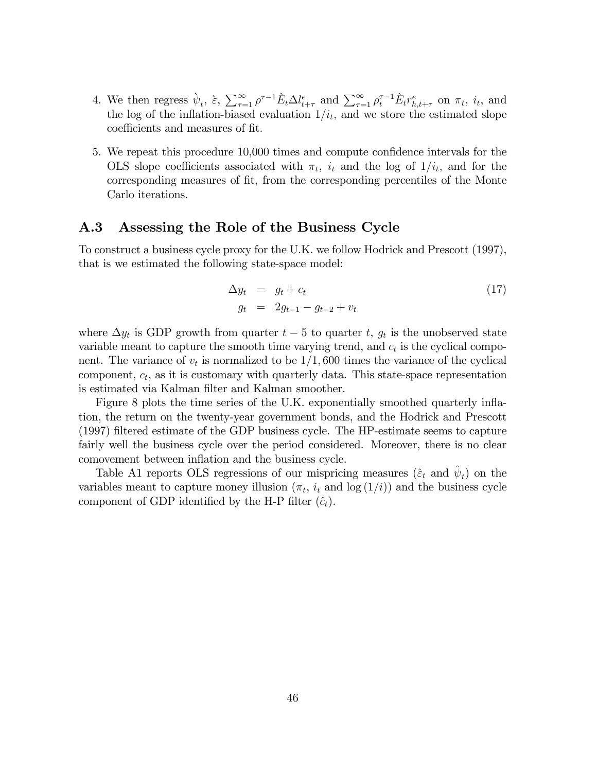- 4. We then regress  $\psi_t$ ,  $\epsilon$ ,  $\sum_{\tau=1}^{\infty} \rho^{\tau-1} \dot{E}_t \Delta l_{t+\tau}^e$  and  $\sum_{\tau=1}^{\infty} \rho_t^{\tau-1} \dot{E}_t r_{h,t+\tau}^e$  on  $\pi_t$ ,  $i_t$ , and the log of the inflation-biased evaluation  $1/i_t$ , and we store the estimated slope coefficients and measures of fit.
- 5. We repeat this procedure 10,000 times and compute confidence intervals for the OLS slope coefficients associated with  $\pi_t$ ,  $i_t$  and the log of  $1/i_t$ , and for the corresponding measures of fit, from the corresponding percentiles of the Monte Carlo iterations.

#### A.3 Assessing the Role of the Business Cycle

To construct a business cycle proxy for the U.K. we follow Hodrick and Prescott (1997), that is we estimated the following state-space model:

$$
\begin{array}{rcl}\n\Delta y_t & = & g_t + c_t \\
g_t & = & 2g_{t-1} - g_{t-2} + v_t\n\end{array} \tag{17}
$$

where  $\Delta y_t$  is GDP growth from quarter  $t - 5$  to quarter t,  $g_t$  is the unobserved state variable meant to capture the smooth time varying trend, and  $c_t$  is the cyclical component. The variance of  $v_t$  is normalized to be  $1/1,600$  times the variance of the cyclical component,  $c_t$ , as it is customary with quarterly data. This state-space representation is estimated via Kalman filter and Kalman smoother.

Figure 8 plots the time series of the U.K. exponentially smoothed quarterly ináation, the return on the twenty-year government bonds, and the Hodrick and Prescott (1997) Öltered estimate of the GDP business cycle. The HP-estimate seems to capture fairly well the business cycle over the period considered. Moreover, there is no clear comovement between inflation and the business cycle.

Table A1 reports OLS regressions of our mispricing measures  $(\hat{\varepsilon}_t$  and  $\hat{\psi}_t$ ) on the variables meant to capture money illusion  $(\pi_t, i_t \text{ and } \log(1/i))$  and the business cycle component of GDP identified by the H-P filter  $(\hat{c}_t)$ .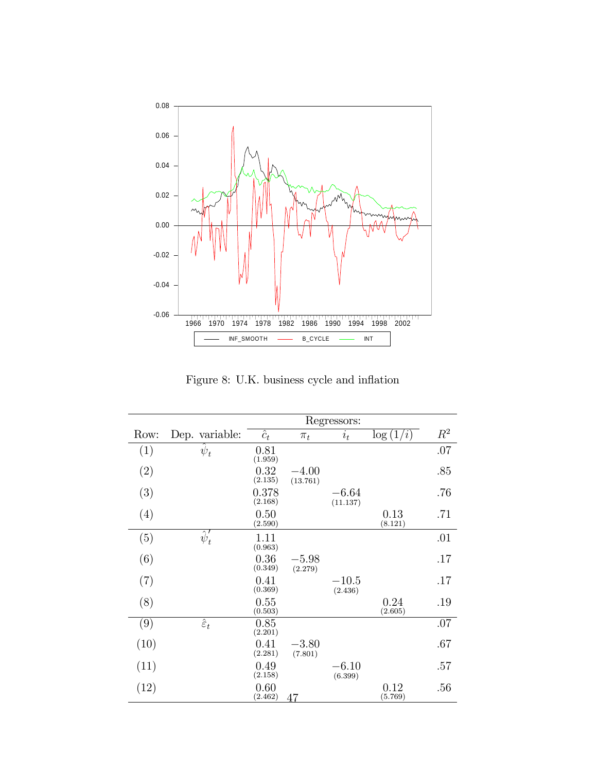

Figure 8: U.K. business cycle and inflation

|      |                            |                  | Regressors:         |                     |                 |       |  |
|------|----------------------------|------------------|---------------------|---------------------|-----------------|-------|--|
| Row: | Dep. variable:             | $\hat{c}_t$      | $\pi_t$             | $i_t$               | $\log{(1/i)}$   | $R^2$ |  |
| (1)  | $\psi_t$                   | 0.81<br>(1.959)  |                     |                     |                 | .07   |  |
| (2)  |                            | 0.32<br>(2.135)  | $-4.00$<br>(13.761) |                     |                 | .85   |  |
| (3)  |                            | 0.378<br>(2.168) |                     | $-6.64$<br>(11.137) |                 | .76   |  |
| (4)  |                            | 0.50<br>(2.590)  |                     |                     | 0.13<br>(8.121) | .71   |  |
| (5)  | $\overline{1}$<br>$\psi_t$ | 1.11<br>(0.963)  |                     |                     |                 | .01   |  |
| (6)  |                            | 0.36<br>(0.349)  | $-5.98$<br>(2.279)  |                     |                 | .17   |  |
| (7)  |                            | 0.41<br>(0.369)  |                     | $-10.5$<br>(2.436)  |                 | .17   |  |
| (8)  |                            | 0.55<br>(0.503)  |                     |                     | 0.24<br>(2.605) | .19   |  |
| (9)  | $\hat{\varepsilon}_t$      | 0.85<br>(2.201)  |                     |                     |                 | .07   |  |
| (10) |                            | 0.41<br>(2.281)  | $-3.80$<br>(7.801)  |                     |                 | .67   |  |
| (11) |                            | 0.49<br>(2.158)  |                     | $-6.10$<br>(6.399)  |                 | .57   |  |
| (12) |                            | 0.60<br>(2.462)  | 47                  |                     | 0.12<br>(5.769) | .56   |  |